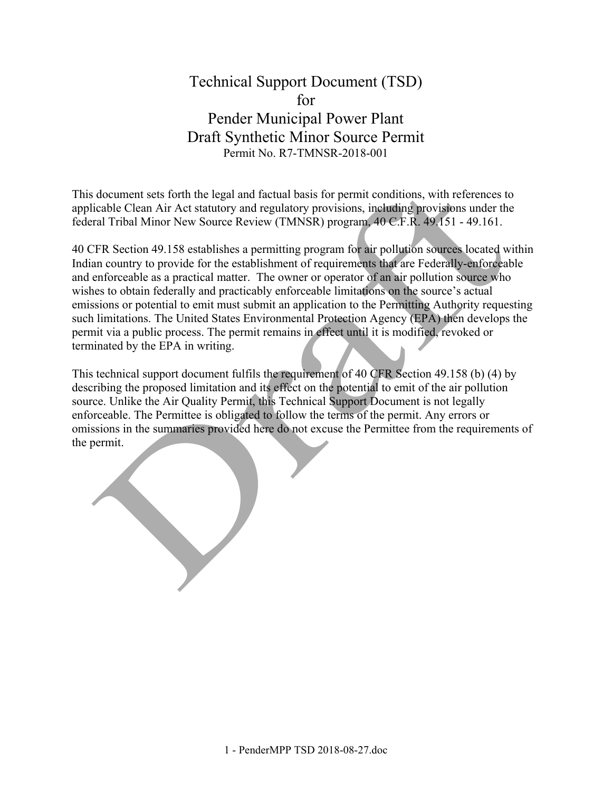# Technical Support Document (TSD) for Pender Municipal Power Plant Draft Synthetic Minor Source Permit Permit No. R7-TMNSR-2018-001

This document sets forth the legal and factual basis for permit conditions, with references to applicable Clean Air Act statutory and regulatory provisions, including provisions under the federal Tribal Minor New Source Review (TMNSR) program, 40 C.F.R. 49.151 - 49.161.

40 CFR Section 49.158 establishes a permitting program for air pollution sources located within Indian country to provide for the establishment of requirements that are Federally-enforceable and enforceable as a practical matter. The owner or operator of an air pollution source who wishes to obtain federally and practicably enforceable limitations on the source's actual emissions or potential to emit must submit an application to the Permitting Authority requesting such limitations. The United States Environmental Protection Agency (EPA) then develops the permit via a public process. The permit remains in effect until it is modified, revoked or terminated by the EPA in writing.

This technical support document fulfils the requirement of 40 CFR Section 49.158 (b) (4) by describing the proposed limitation and its effect on the potential to emit of the air pollution source. Unlike the Air Quality Permit, this Technical Support Document is not legally enforceable. The Permittee is obligated to follow the terms of the permit. Any errors or omissions in the summaries provided here do not excuse the Permittee from the requirements of the permit.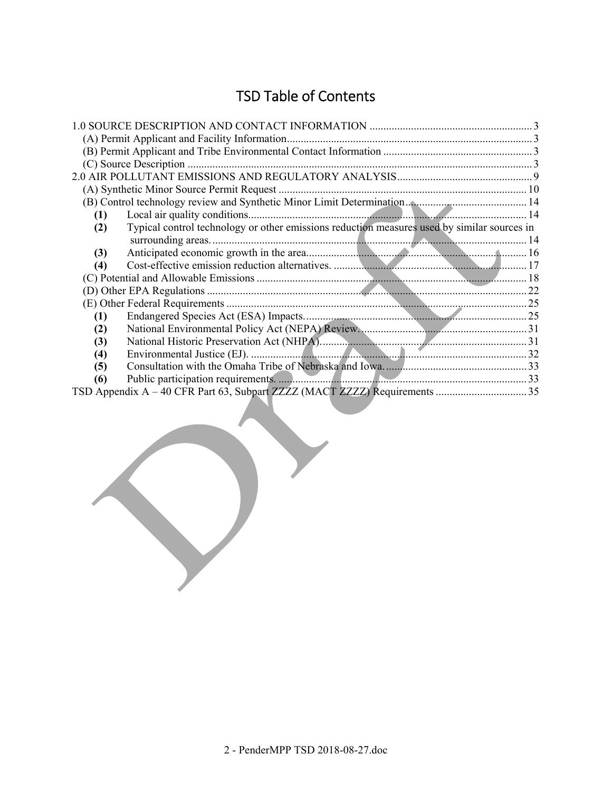# TSD Table of Contents

| (1)                                                                                                |  |
|----------------------------------------------------------------------------------------------------|--|
| Typical control technology or other emissions reduction measures used by similar sources in<br>(2) |  |
|                                                                                                    |  |
| (3)                                                                                                |  |
| (4)                                                                                                |  |
|                                                                                                    |  |
|                                                                                                    |  |
|                                                                                                    |  |
| (1)                                                                                                |  |
| (2)                                                                                                |  |
| (3)                                                                                                |  |
| (4)                                                                                                |  |
| (5)                                                                                                |  |
| (6)                                                                                                |  |
|                                                                                                    |  |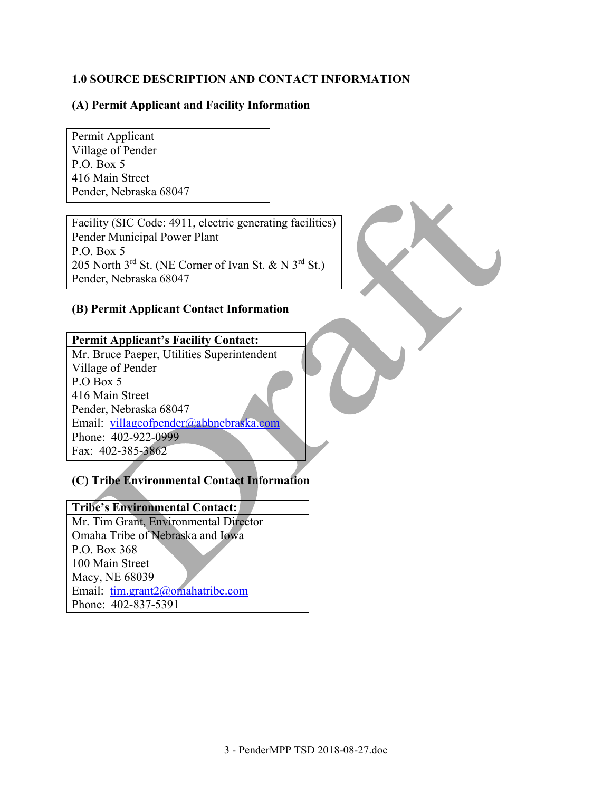## **1.0 SOURCE DESCRIPTION AND CONTACT INFORMATION**

### **(A) Permit Applicant and Facility Information**

Permit Applicant Village of Pender P.O. Box 5 416 Main Street Pender, Nebraska 68047

Facility (SIC Code: 4911, electric generating facilities) Pender Municipal Power Plant P.O. Box 5 205 North  $3^{\text{rd}}$  St. (NE Corner of Ivan St. & N  $3^{\text{rd}}$  St.) Pender, Nebraska 68047

### **(B) Permit Applicant Contact Information**

## **Permit Applicant's Facility Contact:**

Mr. Bruce Paeper, Utilities Superintendent Village of Pender P.O Box 5 416 Main Street Pender, Nebraska 68047 Email: villageofpender@abbnebraska.com Phone: 402-922-0999 Fax: 402-385-3862

### **(C) Tribe Environmental Contact Information**

## **Tribe's Environmental Contact:**

Mr. Tim Grant, Environmental Director Omaha Tribe of Nebraska and Iowa P.O. Box 368 100 Main Street Macy, NE 68039 Email: tim.grant2@omahatribe.com Phone: 402-837-5391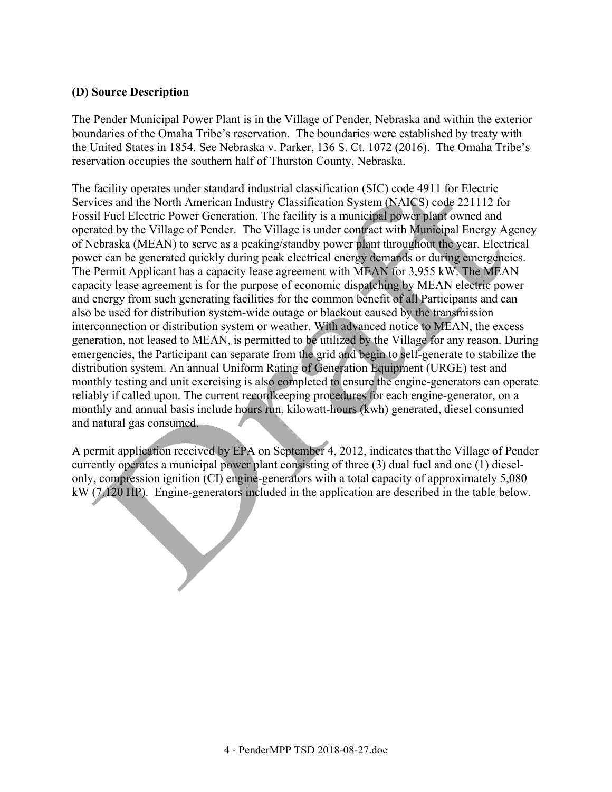#### **(D) Source Description**

The Pender Municipal Power Plant is in the Village of Pender, Nebraska and within the exterior boundaries of the Omaha Tribe's reservation. The boundaries were established by treaty with the United States in 1854. See Nebraska v. Parker, 136 S. Ct. 1072 (2016). The Omaha Tribe's reservation occupies the southern half of Thurston County, Nebraska.

The facility operates under standard industrial classification (SIC) code 4911 for Electric Services and the North American Industry Classification System (NAICS) code 221112 for Fossil Fuel Electric Power Generation. The facility is a municipal power plant owned and operated by the Village of Pender. The Village is under contract with Municipal Energy Agency of Nebraska (MEAN) to serve as a peaking/standby power plant throughout the year. Electrical power can be generated quickly during peak electrical energy demands or during emergencies. The Permit Applicant has a capacity lease agreement with MEAN for 3,955 kW. The MEAN capacity lease agreement is for the purpose of economic dispatching by MEAN electric power and energy from such generating facilities for the common benefit of all Participants and can also be used for distribution system-wide outage or blackout caused by the transmission interconnection or distribution system or weather. With advanced notice to MEAN, the excess generation, not leased to MEAN, is permitted to be utilized by the Village for any reason. During emergencies, the Participant can separate from the grid and begin to self-generate to stabilize the distribution system. An annual Uniform Rating of Generation Equipment (URGE) test and monthly testing and unit exercising is also completed to ensure the engine-generators can operate reliably if called upon. The current recordkeeping procedures for each engine-generator, on a monthly and annual basis include hours run, kilowatt-hours (kwh) generated, diesel consumed and natural gas consumed.

A permit application received by EPA on September 4, 2012, indicates that the Village of Pender currently operates a municipal power plant consisting of three (3) dual fuel and one (1) dieselonly, compression ignition (CI) engine-generators with a total capacity of approximately 5,080 kW (7,120 HP). Engine-generators included in the application are described in the table below.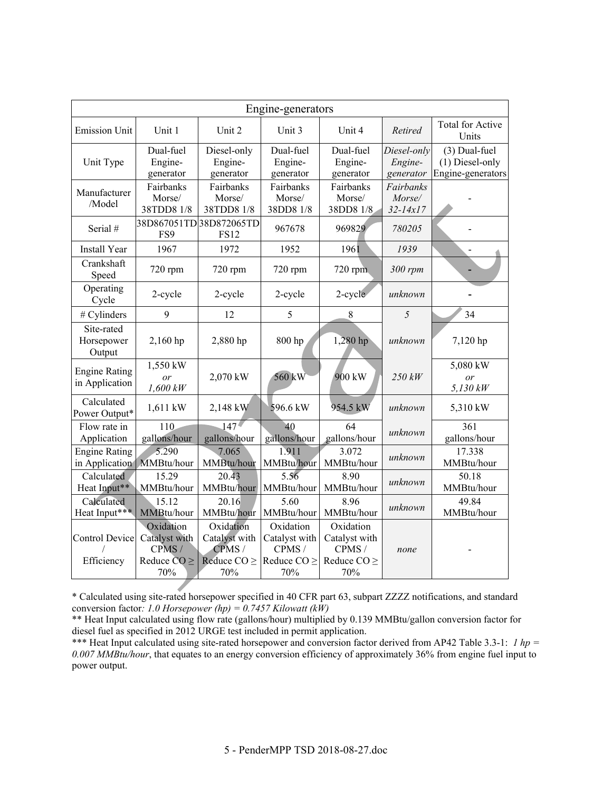|                                                     | Engine-generators                                              |                                                                |                                                                 |                                                                         |                                     |                                                       |  |  |  |
|-----------------------------------------------------|----------------------------------------------------------------|----------------------------------------------------------------|-----------------------------------------------------------------|-------------------------------------------------------------------------|-------------------------------------|-------------------------------------------------------|--|--|--|
| <b>Emission Unit</b>                                | Unit 1                                                         | Unit 2                                                         | Unit 3                                                          | Unit 4                                                                  | Retired                             | <b>Total for Active</b><br>Units                      |  |  |  |
| Unit Type                                           | Dual-fuel<br>Engine-<br>generator                              | Diesel-only<br>Engine-<br>generator                            | Dual-fuel<br>Engine-<br>generator                               | Dual-fuel<br>Engine-<br>generator                                       | Diesel-only<br>Engine-<br>generator | (3) Dual-fuel<br>(1) Diesel-only<br>Engine-generators |  |  |  |
| Manufacturer<br>/Model                              | Fairbanks<br>Morse/<br>38TDD8 1/8                              | Fairbanks<br>Morse/<br>38TDD8 1/8                              | Fairbanks<br>Morse/<br>38DD8 1/8                                | Fairbanks<br>Fairbanks<br>Morse/<br>Morse/<br>38DD8 1/8<br>$32 - 14x17$ |                                     |                                                       |  |  |  |
| Serial #                                            | FS9                                                            | 38D867051TD38D872065TD<br><b>FS12</b>                          | 967678                                                          | 969829                                                                  | 780205                              |                                                       |  |  |  |
| <b>Install Year</b>                                 | 1967                                                           | 1972                                                           | 1952                                                            | 1961                                                                    | 1939                                |                                                       |  |  |  |
| Crankshaft<br>Speed                                 | 720 rpm                                                        | 720 rpm                                                        | 720 rpm                                                         | $720$ rpm                                                               | 300 rpm                             |                                                       |  |  |  |
| Operating<br>Cycle                                  | 2-cycle                                                        | 2-cycle                                                        | 2-cycle                                                         | 2-cycle                                                                 | unknown                             |                                                       |  |  |  |
| # Cylinders                                         | 9                                                              | 12                                                             | 5                                                               | 5<br>8                                                                  |                                     | 34                                                    |  |  |  |
| Site-rated<br>Horsepower<br>Output                  | 2,160 hp                                                       | 2,880 hp                                                       | 800 hp                                                          | 1,280 hp                                                                | unknown                             | 7,120 hp                                              |  |  |  |
| <b>Engine Rating</b><br>in Application              | 1,550 kW<br>or<br>$1,600$ $kW$                                 | 2,070 kW                                                       | 560 kW                                                          | 900 kW                                                                  | 250 kW                              | 5,080 kW<br>or<br>$5,130$ kW                          |  |  |  |
| Calculated<br>Power Output*                         | 1,611 kW                                                       | 2,148 kW                                                       | 596.6 kW                                                        | 954.5 kW                                                                | unknown                             | 5,310 kW                                              |  |  |  |
| Flow rate in<br>Application                         | 110<br>gallons/hour                                            | 147 <sup>4</sup><br>gallons/hour                               | 40<br>gallons/hour                                              | 64<br>gallons/hour                                                      | unknown                             | 361<br>gallons/hour                                   |  |  |  |
| <b>Engine Rating</b><br>in Application   MMBtu/hour | 5.290                                                          | 7.065<br>MMBtu/hour                                            | 1.911<br>MMBtu/hour                                             | 3.072<br>MMBtu/hour                                                     | unknown                             | 17.338<br>MMBtu/hour                                  |  |  |  |
| Calculated<br>Heat Input**                          | 15.29<br>MMBtu/hour                                            | 20.43<br>MMBtu/hour                                            | 5.56<br>MMBtu/hour                                              | 8.90<br>MMBtu/hour                                                      | unknown                             | 50.18<br>MMBtu/hour                                   |  |  |  |
| Calculated<br>Heat Input***                         | 15.12<br>MMBtu/hour                                            | 20.16<br>MMBtu/hour                                            | 5.60<br>MMBtu/hour                                              | 8.96<br>MMBtu/hour                                                      | unknown                             | 49.84<br>MMBtu/hour                                   |  |  |  |
| <b>Control Device</b><br>Efficiency                 | Oxidation<br>Catalyst with<br>CPMS/<br>Reduce $CO \geq$<br>70% | Oxidation<br>Catalyst with<br>CPMS/<br>Reduce $CO \geq$<br>70% | Oxidation<br>Catalyst with<br>CPMS /<br>Reduce $CO \geq$<br>70% | Oxidation<br>Catalyst with<br>CPMS /<br>Reduce $CO \geq$<br>70%         | none                                |                                                       |  |  |  |

\* Calculated using site-rated horsepower specified in 40 CFR part 63, subpart ZZZZ notifications, and standard conversion factor*: 1.0 Horsepower (hp) = 0.7457 Kilowatt (kW)* 

\*\* Heat Input calculated using flow rate (gallons/hour) multiplied by 0.139 MMBtu/gallon conversion factor for diesel fuel as specified in 2012 URGE test included in permit application.

\*\*\* Heat Input calculated using site-rated horsepower and conversion factor derived from AP42 Table 3.3-1: *1 hp* = *0.007 MMBtu/hour*, that equates to an energy conversion efficiency of approximately 36% from engine fuel input to power output.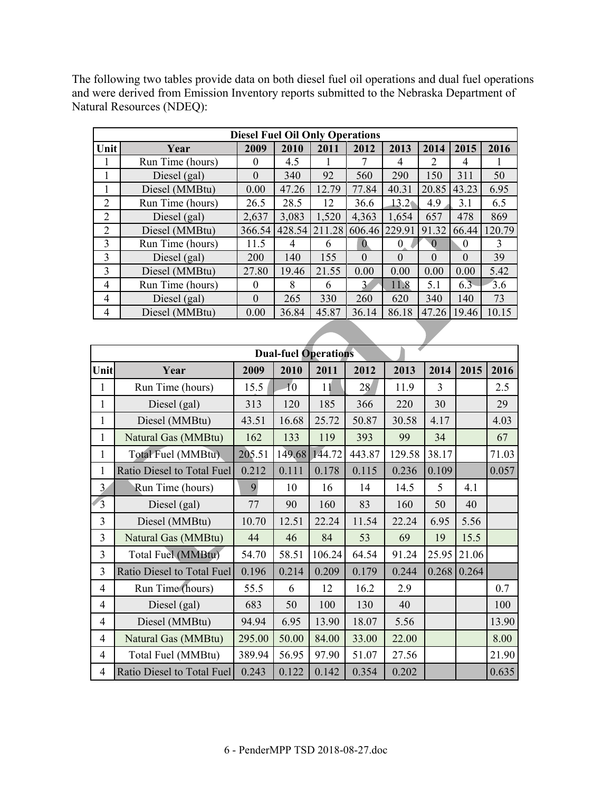The following two tables provide data on both diesel fuel oil operations and dual fuel operations and were derived from Emission Inventory reports submitted to the Nebraska Department of Natural Resources (NDEQ):

| <b>Diesel Fuel Oil Only Operations</b> |                                              |          |        |        |              |                   |          |          |        |  |
|----------------------------------------|----------------------------------------------|----------|--------|--------|--------------|-------------------|----------|----------|--------|--|
| Unit                                   | 2009<br>2010<br>2011<br>2012<br>2013<br>Year |          |        |        |              |                   |          | 2015     | 2016   |  |
|                                        | Run Time (hours)                             | $\theta$ | 4.5    | 1      | 7            | 4                 | 2        | 4        | 1      |  |
|                                        | Diesel (gal)                                 | $\Omega$ | 340    | 92     | 560          | 290               | 150      | 311      | 50     |  |
|                                        | Diesel (MMBtu)                               | 0.00     | 47.26  | 12.79  | 77.84        | 40.31             | 20.85    | 43.23    | 6.95   |  |
| 2                                      | Run Time (hours)                             | 26.5     | 28.5   | 12     | 36.6         | 13.2 <sub>1</sub> | 4.9      | 3.1      | 6.5    |  |
| 2                                      | Diesel (gal)                                 | 2,637    | 3,083  | 1,520  | 4,363        | 1,654             | 657      | 478      | 869    |  |
| 2                                      | Diesel (MMBtu)                               | 366.54   | 428.54 | 211.28 | 606.46       | 229.91            | 91.32    | 66.44    | 120.79 |  |
| 3                                      | Run Time (hours)                             | 11.5     | 4      | 6      | $\Omega$     | $\theta$          | 0        | $\theta$ | 3      |  |
| 3                                      | Diesel (gal)                                 | 200      | 140    | 155    | $\theta$     | $\theta$          | $\theta$ | $\theta$ | 39     |  |
| 3                                      | Diesel (MMBtu)                               | 27.80    | 19.46  | 21.55  | 0.00         | 0.00              | 0.00     | 0.00     | 5.42   |  |
| 4                                      | Run Time (hours)                             | $\Omega$ | 8      | 6      | $\mathbf{3}$ | 11.8              | 5.1      | 6.3      | 3.6    |  |
| 4                                      | Diesel (gal)                                 | $\theta$ | 265    | 330    | 260          | 620               | 340      | 140      | 73     |  |
| 4                                      | Diesel (MMBtu)                               | 0.00     | 36.84  | 45.87  | 36.14        | 86.18             | 47.26    | 19.46    | 10.15  |  |
|                                        |                                              |          |        |        |              |                   |          |          |        |  |

|                         | <b>Dual-fuel Operations</b> |        |                 |        |        |        |                |       |       |  |
|-------------------------|-----------------------------|--------|-----------------|--------|--------|--------|----------------|-------|-------|--|
| Unit                    | Year                        | 2009   | 2010            | 2011   | 2012   | 2013   | 2014           | 2015  | 2016  |  |
| $\mathbf{1}$            | Run Time (hours)            | 15.5   | $\overline{10}$ | 11     | 28     | 11.9   | $\overline{3}$ |       | 2.5   |  |
| 1                       | Diesel (gal)                | 313    | 120             | 185    | 366    | 220    | 30             |       | 29    |  |
| 1                       | Diesel (MMBtu)              | 43.51  | 16.68           | 25.72  | 50.87  | 30.58  | 4.17           |       | 4.03  |  |
| 1                       | Natural Gas (MMBtu)         | 162    | 133             | 119    | 393    | 99     | 34             |       | 67    |  |
| 1                       | Total Fuel (MMBtu).         | 205.51 | 149.68          | 144.72 | 443.87 | 129.58 | 38.17          |       | 71.03 |  |
| 1                       | Ratio Diesel to Total Fuel  | 0.212  | 0.111           | 0.178  | 0.115  | 0.236  | 0.109          |       | 0.057 |  |
| 3                       | Run Time (hours)            | 9      | 10              | 16     | 14     | 14.5   | 5              | 4.1   |       |  |
| $\overline{\mathbf{3}}$ | Diesel (gal)                | 77     | 90              | 160    | 83     | 160    | 50             | 40    |       |  |
| 3                       | Diesel (MMBtu)              | 10.70  | 12.51           | 22.24  | 11.54  | 22.24  | 6.95           | 5.56  |       |  |
| 3                       | Natural Gas (MMBtu)         | 44     | 46              | 84     | 53     | 69     | 19             | 15.5  |       |  |
| 3                       | Total Fuel (MMBtu)          | 54.70  | 58.51           | 106.24 | 64.54  | 91.24  | 25.95          | 21.06 |       |  |
| 3                       | Ratio Diesel to Total Fuel  | 0.196  | 0.214           | 0.209  | 0.179  | 0.244  | 0.268          | 0.264 |       |  |
| 4                       | Run Time (hours)            | 55.5   | 6               | 12     | 16.2   | 2.9    |                |       | 0.7   |  |
| $\overline{4}$          | Diesel (gal)                | 683    | 50              | 100    | 130    | 40     |                |       | 100   |  |
| $\overline{4}$          | Diesel (MMBtu)              | 94.94  | 6.95            | 13.90  | 18.07  | 5.56   |                |       | 13.90 |  |
| $\overline{4}$          | Natural Gas (MMBtu)         | 295.00 | 50.00           | 84.00  | 33.00  | 22.00  |                |       | 8.00  |  |
| $\overline{4}$          | Total Fuel (MMBtu)          | 389.94 | 56.95           | 97.90  | 51.07  | 27.56  |                |       | 21.90 |  |
| $\overline{4}$          | Ratio Diesel to Total Fuel  | 0.243  | 0.122           | 0.142  | 0.354  | 0.202  |                |       | 0.635 |  |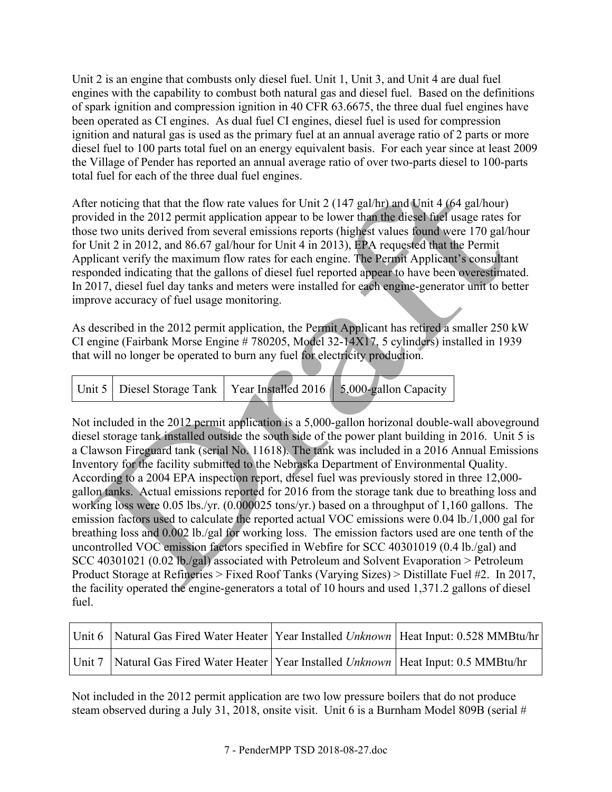Unit 2 is an engine that combusts only diesel fuel. Unit 1, Unit 3, and Unit 4 are dual fuel engines with the capability to combust both natural gas and diesel fuel. Based on the definitions of spark ignition and compression ignition in 40 CFR 63.6675, the three dual fuel engines have been operated as CI engines. As dual fuel CI engines, diesel fuel is used for compression ignition and natural gas is used as the primary fuel at an annual average ratio of 2 parts or more diesel fuel to 100 parts total fuel on an energy equivalent basis. For each year since at least 2009 the Village of Pender has reported an annual average ratio of over two-parts diesel to 100-parts total fuel for each of the three dual fuel engines.

After noticing that that the flow rate values for Unit 2 (147 gal/hr) and Unit 4 (64 gal/hour) provided in the 2012 permit application appear to be lower than the diesel fuel usage rates for those two units derived from several emissions reports (highest values found were 170 gal/hour for Unit 2 in 2012, and 86.67 gal/hour for Unit 4 in 2013), EPA requested that the Permit Applicant verify the maximum flow rates for each engine. The Permit Applicant's consultant responded indicating that the gallons of diesel fuel reported appear to have been overestimated. In 2017, diesel fuel day tanks and meters were installed for each engine-generator unit to better improve accuracy of fuel usage monitoring.

As described in the 2012 permit application, the Permit Applicant has retired a smaller 250 kW CI engine (Fairbank Morse Engine # 780205, Model 32-14X17, 5 cylinders) installed in 1939 that will no longer be operated to burn any fuel for electricity production.

|  | Unit 5   Diesel Storage Tank   Year Installed 2016   5,000-gallon Capacity |
|--|----------------------------------------------------------------------------|

Not included in the 2012 permit application is a 5,000-gallon horizonal double-wall aboveground diesel storage tank installed outside the south side of the power plant building in 2016. Unit 5 is a Clawson Fireguard tank (serial No. 11618). The tank was included in a 2016 Annual Emissions Inventory for the facility submitted to the Nebraska Department of Environmental Quality. According to a 2004 EPA inspection report, diesel fuel was previously stored in three 12,000 gallon tanks. Actual emissions reported for 2016 from the storage tank due to breathing loss and working loss were 0.05 lbs./yr. (0.000025 tons/yr.) based on a throughput of 1,160 gallons. The emission factors used to calculate the reported actual VOC emissions were 0.04 lb./1,000 gal for breathing loss and 0.002 lb./gal for working loss. The emission factors used are one tenth of the uncontrolled VOC emission factors specified in Webfire for SCC 40301019 (0.4 lb./gal) and SCC 40301021 (0.02 lb./gal) associated with Petroleum and Solvent Evaporation > Petroleum Product Storage at Refineries > Fixed Roof Tanks (Varying Sizes) > Distillate Fuel #2. In 2017, the facility operated the engine-generators a total of 10 hours and used 1,371.2 gallons of diesel fuel.

| Unit 6   Natural Gas Fired Water Heater   Year Installed <i>Unknown</i>   Heat Input: 0.528 MMBtu/hr |  |
|------------------------------------------------------------------------------------------------------|--|
| Unit 7   Natural Gas Fired Water Heater   Year Installed <i>Unknown</i>   Heat Input: 0.5 MMBtu/hr   |  |

Not included in the 2012 permit application are two low pressure boilers that do not produce steam observed during a July 31, 2018, onsite visit. Unit 6 is a Burnham Model 809B (serial #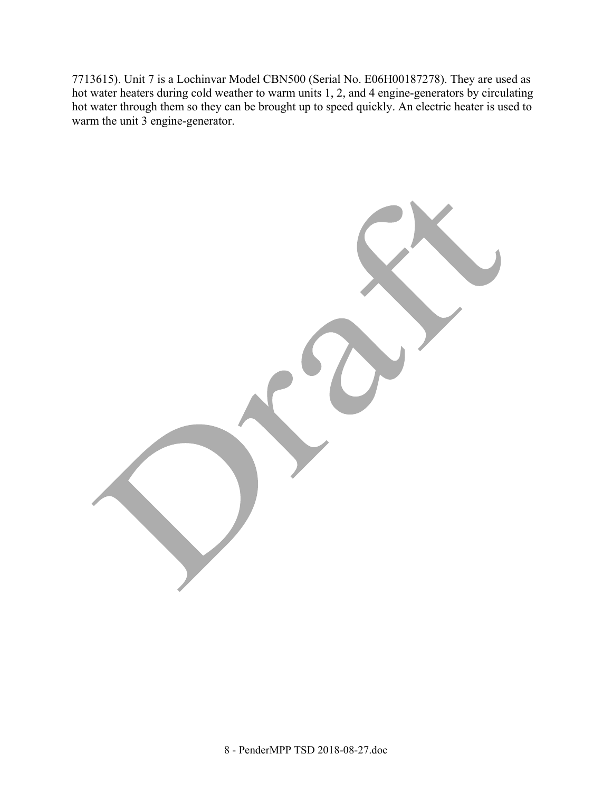7713615). Unit 7 is a Lochinvar Model CBN500 (Serial No. E06H00187278). They are used as hot water heaters during cold weather to warm units 1, 2, and 4 engine-generators by circulating hot water through them so they can be brought up to speed quickly. An electric heater is used to warm the unit 3 engine-generator.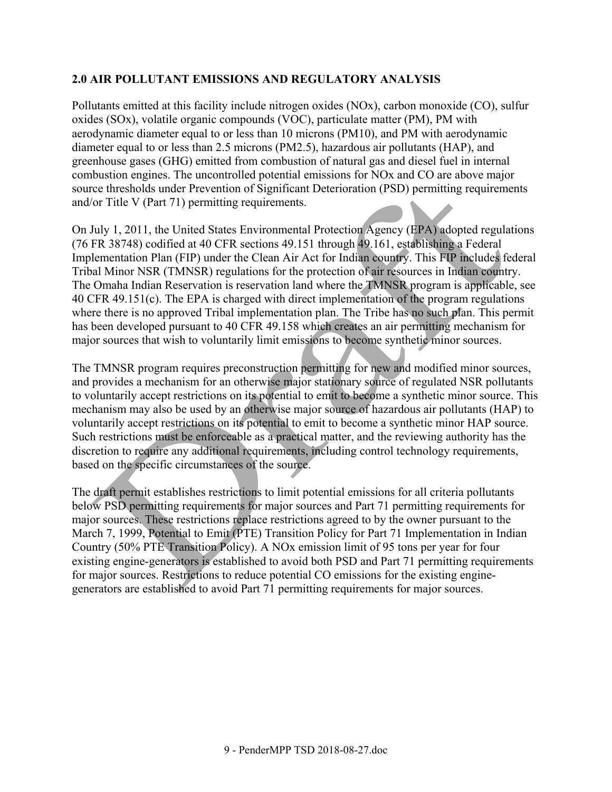## **2.0 AIR POLLUTANT EMISSIONS AND REGULATORY ANALYSIS**

Pollutants emitted at this facility include nitrogen oxides (NOx), carbon monoxide (CO), sulfur oxides (SOx), volatile organic compounds (VOC), particulate matter (PM), PM with aerodynamic diameter equal to or less than 10 microns (PM10), and PM with aerodynamic diameter equal to or less than 2.5 microns (PM2.5), hazardous air pollutants (HAP), and greenhouse gases (GHG) emitted from combustion of natural gas and diesel fuel in internal combustion engines. The uncontrolled potential emissions for NOx and CO are above major source thresholds under Prevention of Significant Deterioration (PSD) permitting requirements and/or Title V (Part 71) permitting requirements.

On July 1, 2011, the United States Environmental Protection Agency (EPA) adopted regulations (76 FR 38748) codified at 40 CFR sections 49.151 through 49.161, establishing a Federal Implementation Plan (FIP) under the Clean Air Act for Indian country. This FIP includes federal Tribal Minor NSR (TMNSR) regulations for the protection of air resources in Indian country. The Omaha Indian Reservation is reservation land where the TMNSR program is applicable, see 40 CFR 49.151(c). The EPA is charged with direct implementation of the program regulations where there is no approved Tribal implementation plan. The Tribe has no such plan. This permit has been developed pursuant to 40 CFR 49.158 which creates an air permitting mechanism for major sources that wish to voluntarily limit emissions to become synthetic minor sources.

The TMNSR program requires preconstruction permitting for new and modified minor sources, and provides a mechanism for an otherwise major stationary source of regulated NSR pollutants to voluntarily accept restrictions on its potential to emit to become a synthetic minor source. This mechanism may also be used by an otherwise major source of hazardous air pollutants (HAP) to voluntarily accept restrictions on its potential to emit to become a synthetic minor HAP source. Such restrictions must be enforceable as a practical matter, and the reviewing authority has the discretion to require any additional requirements, including control technology requirements, based on the specific circumstances of the source.

The draft permit establishes restrictions to limit potential emissions for all criteria pollutants below PSD permitting requirements for major sources and Part 71 permitting requirements for major sources. These restrictions replace restrictions agreed to by the owner pursuant to the March 7, 1999, Potential to Emit (PTE) Transition Policy for Part 71 Implementation in Indian Country (50% PTE Transition Policy). A NOx emission limit of 95 tons per year for four existing engine-generators is established to avoid both PSD and Part 71 permitting requirements for major sources. Restrictions to reduce potential CO emissions for the existing enginegenerators are established to avoid Part 71 permitting requirements for major sources.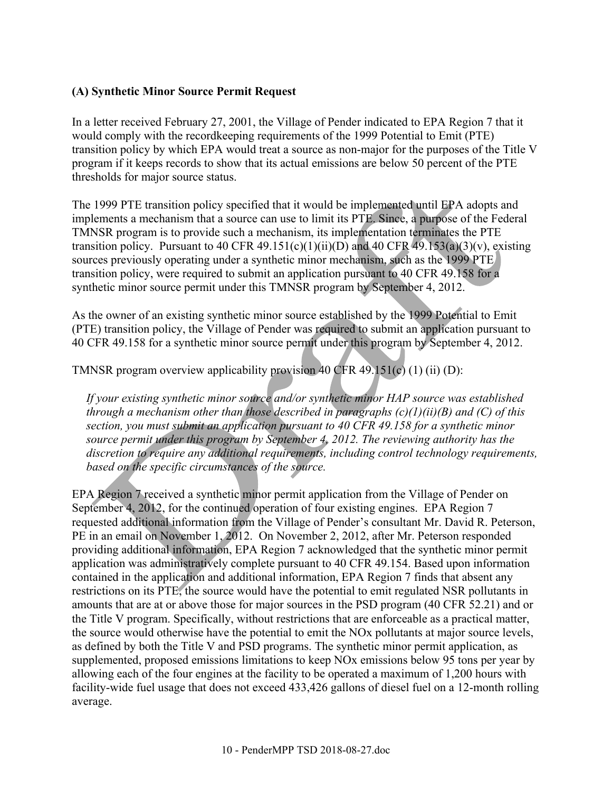#### **(A) Synthetic Minor Source Permit Request**

In a letter received February 27, 2001, the Village of Pender indicated to EPA Region 7 that it would comply with the recordkeeping requirements of the 1999 Potential to Emit (PTE) transition policy by which EPA would treat a source as non-major for the purposes of the Title V program if it keeps records to show that its actual emissions are below 50 percent of the PTE thresholds for major source status.

The 1999 PTE transition policy specified that it would be implemented until EPA adopts and implements a mechanism that a source can use to limit its PTE. Since, a purpose of the Federal TMNSR program is to provide such a mechanism, its implementation terminates the PTE transition policy. Pursuant to 40 CFR 49.151(c)(1)(ii)(D) and 40 CFR 49.153(a)(3)(v), existing sources previously operating under a synthetic minor mechanism, such as the 1999 PTE transition policy, were required to submit an application pursuant to 40 CFR 49.158 for a synthetic minor source permit under this TMNSR program by September 4, 2012.

As the owner of an existing synthetic minor source established by the 1999 Potential to Emit (PTE) transition policy, the Village of Pender was required to submit an application pursuant to 40 CFR 49.158 for a synthetic minor source permit under this program by September 4, 2012.

TMNSR program overview applicability provision 40 CFR  $49.151(c)$  (1) (ii) (D):

*If your existing synthetic minor source and/or synthetic minor HAP source was established through a mechanism other than those described in paragraphs (c)(1)(ii)(B) and (C) of this section, you must submit an application pursuant to 40 CFR 49.158 for a synthetic minor source permit under this program by September 4, 2012. The reviewing authority has the discretion to require any additional requirements, including control technology requirements, based on the specific circumstances of the source.*

EPA Region 7 received a synthetic minor permit application from the Village of Pender on September 4, 2012, for the continued operation of four existing engines. EPA Region 7 requested additional information from the Village of Pender's consultant Mr. David R. Peterson, PE in an email on November 1, 2012. On November 2, 2012, after Mr. Peterson responded providing additional information, EPA Region 7 acknowledged that the synthetic minor permit application was administratively complete pursuant to 40 CFR 49.154. Based upon information contained in the application and additional information, EPA Region 7 finds that absent any restrictions on its PTE, the source would have the potential to emit regulated NSR pollutants in amounts that are at or above those for major sources in the PSD program (40 CFR 52.21) and or the Title V program. Specifically, without restrictions that are enforceable as a practical matter, the source would otherwise have the potential to emit the NOx pollutants at major source levels, as defined by both the Title V and PSD programs. The synthetic minor permit application, as supplemented, proposed emissions limitations to keep NOx emissions below 95 tons per year by allowing each of the four engines at the facility to be operated a maximum of 1,200 hours with facility-wide fuel usage that does not exceed 433,426 gallons of diesel fuel on a 12-month rolling average.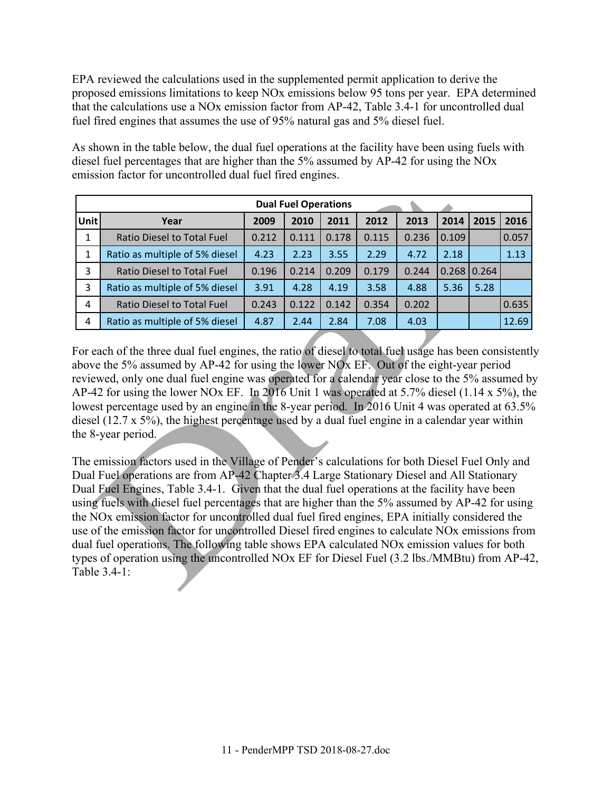EPA reviewed the calculations used in the supplemented permit application to derive the proposed emissions limitations to keep NOx emissions below 95 tons per year. EPA determined that the calculations use a NOx emission factor from AP-42, Table 3.4-1 for uncontrolled dual fuel fired engines that assumes the use of 95% natural gas and 5% diesel fuel.

As shown in the table below, the dual fuel operations at the facility have been using fuels with diesel fuel percentages that are higher than the 5% assumed by AP‐42 for using the NOx emission factor for uncontrolled dual fuel fired engines.

|              | <b>Dual Fuel Operations</b>       |       |       |       |       |       |       |               |       |  |  |
|--------------|-----------------------------------|-------|-------|-------|-------|-------|-------|---------------|-------|--|--|
| Unit         | Year                              | 2009  | 2010  | 2011  | 2012  | 2013  | 2014  | 2015          | 2016  |  |  |
| $\mathbf{1}$ | Ratio Diesel to Total Fuel        | 0.212 | 0.111 | 0.178 | 0.115 | 0.236 | 0.109 |               | 0.057 |  |  |
| 1            | Ratio as multiple of 5% diesel    | 4.23  | 2.23  | 3.55  | 2.29  | 4.72  | 2.18  |               | 1.13  |  |  |
| 3            | Ratio Diesel to Total Fuel        | 0.196 | 0.214 | 0.209 | 0.179 | 0.244 |       | $0.268$ 0.264 |       |  |  |
| 3            | Ratio as multiple of 5% diesel    | 3.91  | 4.28  | 4.19  | 3.58  | 4.88  | 5.36  | 5.28          |       |  |  |
| 4            | <b>Ratio Diesel to Total Fuel</b> | 0.243 | 0.122 | 0.142 | 0.354 | 0.202 |       |               | 0.635 |  |  |
| 4            | Ratio as multiple of 5% diesel    | 4.87  | 2.44  | 2.84  | 7.08  | 4.03  |       |               | 12.69 |  |  |

For each of the three dual fuel engines, the ratio of diesel to total fuel usage has been consistently above the 5% assumed by AP‐42 for using the lower NOx EF. Out of the eight-year period reviewed, only one dual fuel engine was operated for a calendar year close to the 5% assumed by AP-42 for using the lower NOx EF. In 2016 Unit 1 was operated at 5.7% diesel (1.14 x 5%), the lowest percentage used by an engine in the 8-year period. In 2016 Unit 4 was operated at 63.5% diesel (12.7 x 5%), the highest percentage used by a dual fuel engine in a calendar year within the 8-year period.

The emission factors used in the Village of Pender's calculations for both Diesel Fuel Only and Dual Fuel operations are from AP-42 Chapter 3.4 Large Stationary Diesel and All Stationary Dual Fuel Engines, Table 3.4-1. Given that the dual fuel operations at the facility have been using fuels with diesel fuel percentages that are higher than the 5% assumed by AP‐42 for using the NOx emission factor for uncontrolled dual fuel fired engines, EPA initially considered the use of the emission factor for uncontrolled Diesel fired engines to calculate NOx emissions from dual fuel operations. The following table shows EPA calculated NOx emission values for both types of operation using the uncontrolled NOx EF for Diesel Fuel (3.2 lbs./MMBtu) from AP-42, Table 3.4-1: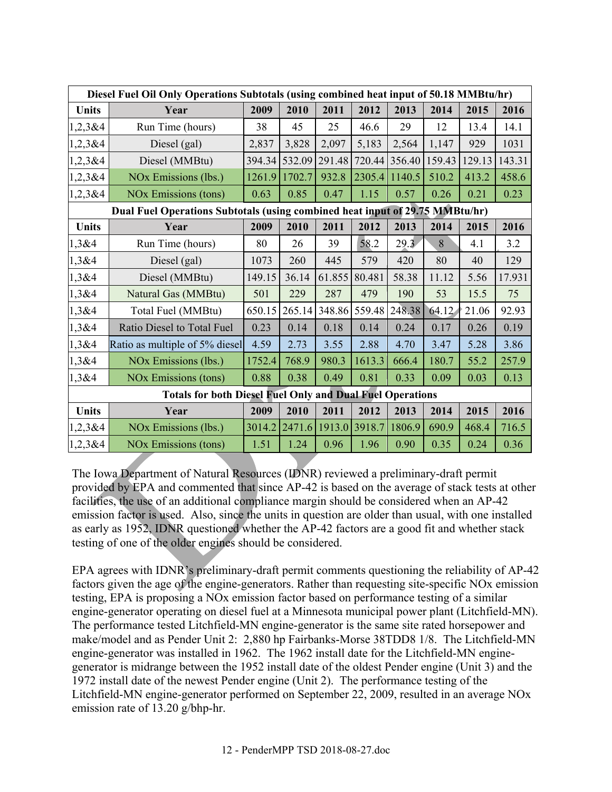|              | Diesel Fuel Oil Only Operations Subtotals (using combined heat input of 50.18 MMBtu/hr) |        |        |        |               |               |        |        |        |  |  |  |
|--------------|-----------------------------------------------------------------------------------------|--------|--------|--------|---------------|---------------|--------|--------|--------|--|--|--|
| Units        | Year                                                                                    | 2009   | 2010   | 2011   | 2012          | 2013          | 2014   | 2015   | 2016   |  |  |  |
| 1,2,3 & 4    | Run Time (hours)                                                                        | 38     | 45     | 25     | 46.6          | 29            | 12     | 13.4   | 14.1   |  |  |  |
| 1,2,3 & 4    | Diesel (gal)                                                                            | 2,837  | 3,828  | 2,097  | 5,183         | 2,564         | 1,147  | 929    | 1031   |  |  |  |
| 1,2,3 & 4    | Diesel (MMBtu)                                                                          | 394.34 | 532.09 | 291.48 |               | 720.44 356.40 | 159.43 | 129.13 | 143.31 |  |  |  |
| 1,2,3 & 4    | NO <sub>x</sub> Emissions (lbs.)                                                        | 1261.9 | 1702.7 | 932.8  | 2305.4        | 1140.5        | 510.2  | 413.2  | 458.6  |  |  |  |
| 1,2,3 & 4    | <b>NOx Emissions (tons)</b>                                                             | 0.63   | 0.85   | 0.47   | 1.15          | 0.57          | 0.26   | 0.21   | 0.23   |  |  |  |
|              | Dual Fuel Operations Subtotals (using combined heat input of 29.75 MMBtu/hr)            |        |        |        |               |               |        |        |        |  |  |  |
| Units        | Year                                                                                    | 2009   | 2010   | 2011   | 2012          | 2013          | 2014   | 2015   | 2016   |  |  |  |
| 1,3&4        | Run Time (hours)                                                                        | 80     | 26     | 39     | 58.2          | 29.3          | 8      | 4.1    | 3.2    |  |  |  |
| 1,3&4        | Diesel (gal)                                                                            | 1073   | 260    | 445    | 579           | 420           | 80     | 40     | 129    |  |  |  |
| 1,3&4        | Diesel (MMBtu)                                                                          | 149.15 | 36.14  | 61.855 | 80.481        | 58.38         | 11.12  | 5.56   | 17.931 |  |  |  |
| 1,3&4        | Natural Gas (MMBtu)                                                                     | 501    | 229    | 287    | 479           | 190           | 53     | 15.5   | 75     |  |  |  |
| 1,3&4        | Total Fuel (MMBtu)                                                                      | 650.15 | 265.14 |        | 348.86 559.48 | 248.38        | 64.12  | 21.06  | 92.93  |  |  |  |
| 1,3&4        | Ratio Diesel to Total Fuel                                                              | 0.23   | 0.14   | 0.18   | 0.14          | 0.24          | 0.17   | 0.26   | 0.19   |  |  |  |
| 1,3&4        | Ratio as multiple of 5% diesel                                                          | 4.59   | 2.73   | 3.55   | 2.88          | 4.70          | 3.47   | 5.28   | 3.86   |  |  |  |
| 1,3&4        | NO <sub>x</sub> Emissions (lbs.)                                                        | 1752.4 | 768.9  | 980.3  | 1613.3        | 666.4         | 180.7  | 55.2   | 257.9  |  |  |  |
| 1,3&4        | <b>NOx Emissions (tons)</b>                                                             | 0.88   | 0.38   | 0.49   | 0.81          | 0.33          | 0.09   | 0.03   | 0.13   |  |  |  |
|              | <b>Totals for both Diesel Fuel Only and Dual Fuel Operations</b>                        |        |        |        |               |               |        |        |        |  |  |  |
| <b>Units</b> | Year                                                                                    | 2009   | 2010   | 2011   | 2012          | 2013          | 2014   | 2015   | 2016   |  |  |  |
| 1,2,3 & 4    | NO <sub>x</sub> Emissions (lbs.)                                                        | 3014.2 | 2471.6 | 1913.0 | 3918.7        | 1806.9        | 690.9  | 468.4  | 716.5  |  |  |  |
| 1,2,3 & 4    | <b>NOx Emissions (tons)</b>                                                             | 1.51   | 1.24   | 0.96   | 1.96          | 0.90          | 0.35   | 0.24   | 0.36   |  |  |  |

The Iowa Department of Natural Resources (IDNR) reviewed a preliminary-draft permit provided by EPA and commented that since AP-42 is based on the average of stack tests at other facilities, the use of an additional compliance margin should be considered when an AP-42 emission factor is used. Also, since the units in question are older than usual, with one installed as early as 1952, IDNR questioned whether the AP-42 factors are a good fit and whether stack testing of one of the older engines should be considered.

EPA agrees with IDNR's preliminary-draft permit comments questioning the reliability of AP-42 factors given the age of the engine-generators. Rather than requesting site-specific NOx emission testing, EPA is proposing a NOx emission factor based on performance testing of a similar engine-generator operating on diesel fuel at a Minnesota municipal power plant (Litchfield-MN). The performance tested Litchfield-MN engine-generator is the same site rated horsepower and make/model and as Pender Unit 2: 2,880 hp Fairbanks-Morse 38TDD8 1/8. The Litchfield-MN engine-generator was installed in 1962. The 1962 install date for the Litchfield-MN enginegenerator is midrange between the 1952 install date of the oldest Pender engine (Unit 3) and the 1972 install date of the newest Pender engine (Unit 2). The performance testing of the Litchfield-MN engine-generator performed on September 22, 2009, resulted in an average NOx emission rate of 13.20 g/bhp-hr.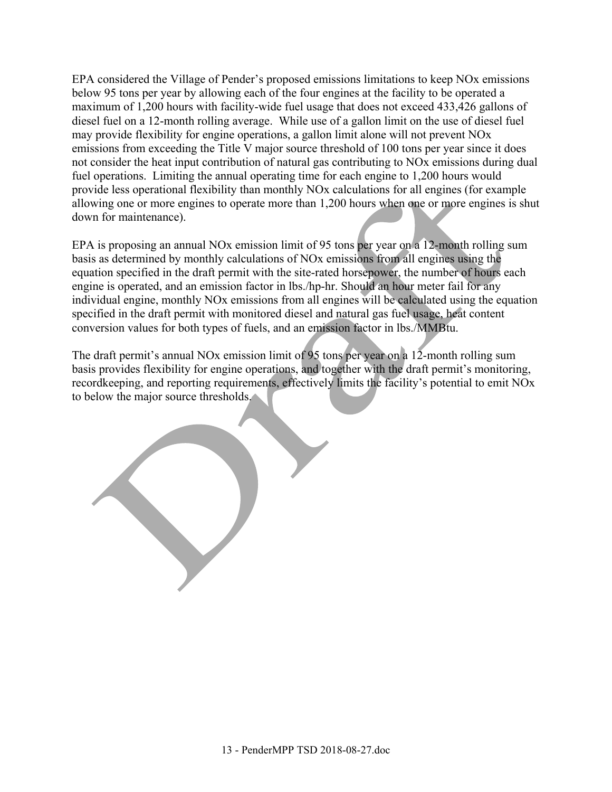EPA considered the Village of Pender's proposed emissions limitations to keep NOx emissions below 95 tons per year by allowing each of the four engines at the facility to be operated a maximum of 1,200 hours with facility-wide fuel usage that does not exceed 433,426 gallons of diesel fuel on a 12-month rolling average. While use of a gallon limit on the use of diesel fuel may provide flexibility for engine operations, a gallon limit alone will not prevent NOx emissions from exceeding the Title V major source threshold of 100 tons per year since it does not consider the heat input contribution of natural gas contributing to NOx emissions during dual fuel operations. Limiting the annual operating time for each engine to 1,200 hours would provide less operational flexibility than monthly NOx calculations for all engines (for example allowing one or more engines to operate more than 1,200 hours when one or more engines is shut down for maintenance).

EPA is proposing an annual NOx emission limit of 95 tons per year on a 12-month rolling sum basis as determined by monthly calculations of NOx emissions from all engines using the equation specified in the draft permit with the site-rated horsepower, the number of hours each engine is operated, and an emission factor in lbs./hp-hr. Should an hour meter fail for any individual engine, monthly NOx emissions from all engines will be calculated using the equation specified in the draft permit with monitored diesel and natural gas fuel usage, heat content conversion values for both types of fuels, and an emission factor in lbs./MMBtu.

The draft permit's annual NOx emission limit of 95 tons per year on a 12-month rolling sum basis provides flexibility for engine operations, and together with the draft permit's monitoring, recordkeeping, and reporting requirements, effectively limits the facility's potential to emit NOx to below the major source thresholds.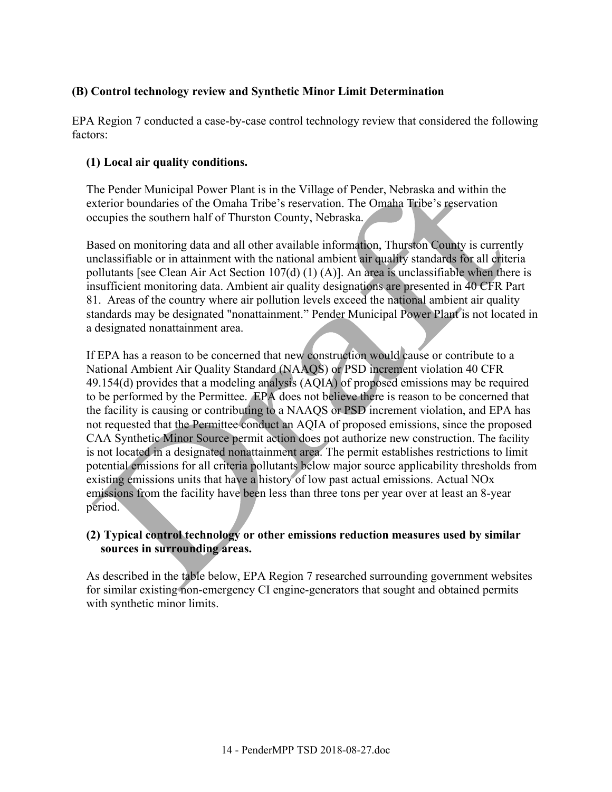## **(B) Control technology review and Synthetic Minor Limit Determination**

EPA Region 7 conducted a case-by-case control technology review that considered the following factors:

## **(1) Local air quality conditions.**

The Pender Municipal Power Plant is in the Village of Pender, Nebraska and within the exterior boundaries of the Omaha Tribe's reservation. The Omaha Tribe's reservation occupies the southern half of Thurston County, Nebraska.

Based on monitoring data and all other available information, Thurston County is currently unclassifiable or in attainment with the national ambient air quality standards for all criteria pollutants [see Clean Air Act Section 107(d) (1) (A)]. An area is unclassifiable when there is insufficient monitoring data. Ambient air quality designations are presented in 40 CFR Part 81. Areas of the country where air pollution levels exceed the national ambient air quality standards may be designated "nonattainment." Pender Municipal Power Plant is not located in a designated nonattainment area.

If EPA has a reason to be concerned that new construction would cause or contribute to a National Ambient Air Quality Standard (NAAQS) or PSD increment violation 40 CFR 49.154(d) provides that a modeling analysis (AQIA) of proposed emissions may be required to be performed by the Permittee. EPA does not believe there is reason to be concerned that the facility is causing or contributing to a NAAQS or PSD increment violation, and EPA has not requested that the Permittee conduct an AQIA of proposed emissions, since the proposed CAA Synthetic Minor Source permit action does not authorize new construction. The facility is not located in a designated nonattainment area. The permit establishes restrictions to limit potential emissions for all criteria pollutants below major source applicability thresholds from existing emissions units that have a history of low past actual emissions. Actual NOx emissions from the facility have been less than three tons per year over at least an 8-year period.

## **(2) Typical control technology or other emissions reduction measures used by similar sources in surrounding areas.**

As described in the table below, EPA Region 7 researched surrounding government websites for similar existing non-emergency CI engine-generators that sought and obtained permits with synthetic minor limits.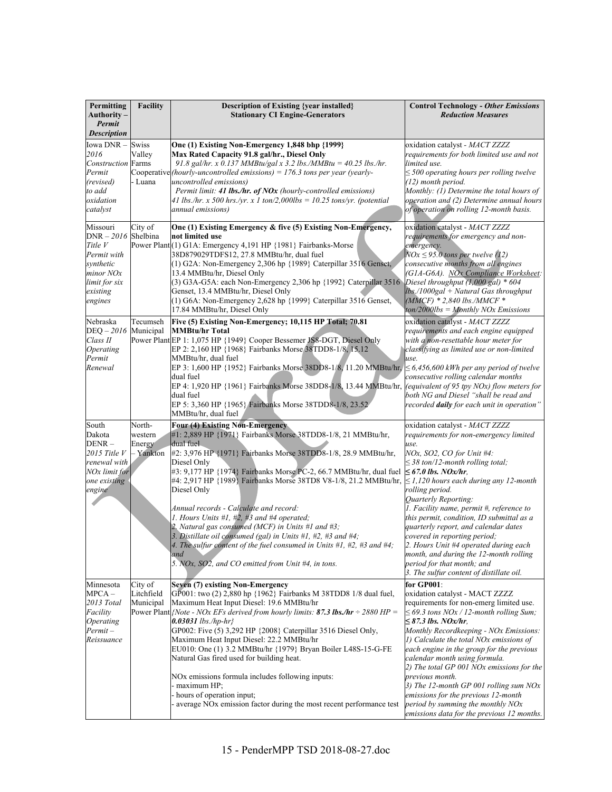| Permitting<br>Authority-<br>Permit<br><b>Description</b>                                                                      | Facility                                 | <b>Description of Existing {year installed}</b><br><b>Stationary CI Engine-Generators</b>                                                                                                                                                                                                                                                                                                                                                                                                                                                                                                                                                                                                                          | <b>Control Technology - Other Emissions</b><br><b>Reduction Measures</b>                                                                                                                                                                                                                                                                                                                                                                                                                                                                                                                                   |
|-------------------------------------------------------------------------------------------------------------------------------|------------------------------------------|--------------------------------------------------------------------------------------------------------------------------------------------------------------------------------------------------------------------------------------------------------------------------------------------------------------------------------------------------------------------------------------------------------------------------------------------------------------------------------------------------------------------------------------------------------------------------------------------------------------------------------------------------------------------------------------------------------------------|------------------------------------------------------------------------------------------------------------------------------------------------------------------------------------------------------------------------------------------------------------------------------------------------------------------------------------------------------------------------------------------------------------------------------------------------------------------------------------------------------------------------------------------------------------------------------------------------------------|
| Iowa DNR-<br>2016<br><b>Construction</b> Farms<br>Permit<br>(revised)<br>to add<br>oxidation<br>catalyst                      | Swiss<br>Valley<br>- Luana               | One (1) Existing Non-Emergency 1,848 bhp {1999}<br>Max Rated Capacity 91.8 gal/hr., Diesel Only<br>91.8 gal/hr. x 0.137 MMBtu/gal x 3.2 lbs./MMBtu = $40.25$ lbs./hr.<br>Cooperative (hourly-uncontrolled emissions) = 176.3 tons per year (yearly-<br>uncontrolled emissions)<br>Permit limit: 41 lbs./hr. of NOx (hourly-controlled emissions)<br>41 lbs./hr. x 500 hrs./yr. x 1 ton/2,000lbs = 10.25 tons/yr. (potential<br>annual emissions)                                                                                                                                                                                                                                                                   | oxidation catalyst - MACT ZZZZ<br>requirements for both limited use and not<br>limited use.<br>$\leq$ 500 operating hours per rolling twelve<br>(12) month period.<br>Monthly: (1) Determine the total hours of<br>operation and (2) Determine annual hours<br>of operation on rolling 12-month basis.                                                                                                                                                                                                                                                                                                     |
| Missouri<br>$DNR - 2016$ Shelbina<br>Title V<br>Permit with<br>synthetic<br>minor NOx<br>limit for six<br>existing<br>engines | City of                                  | One (1) Existing Emergency & five (5) Existing Non-Emergency,<br>not limited use<br>Power Plant(1) G1A: Emergency 4,191 HP {1981} Fairbanks-Morse<br>38D879029TDFS12, 27.8 MMBtu/hr, dual fuel<br>(1) G2A: Non-Emergency 2,306 hp {1989} Caterpillar 3516 Genset,<br>13.4 MMBtu/hr, Diesel Only<br>(3) G3A-G5A: each Non-Emergency 2,306 hp {1992} Caterpillar 3516<br>Genset, 13.4 MMBtu/hr, Diesel Only<br>(1) G6A: Non-Emergency 2,628 hp {1999} Caterpillar 3516 Genset,<br>17.84 MMBtu/hr, Diesel Only                                                                                                                                                                                                        | oxidation catalyst - MACT ZZZZ<br>requirements for emergency and non-<br>emergency.<br>$NOx \leq 95.0$ tons per twelve (12)<br>consecutive months from all engines<br>(G1A-G6A). NOx Compliance Worksheet:<br>Diesel throughput (1,000 gal) * 604<br>$lbs$ ./1000gal + Natural Gas throughput<br>$(MMCF) * 2,840$ lbs./MMCF *<br>$ton/2000$ lbs = Monthly NOx Emissions                                                                                                                                                                                                                                    |
| Nebraska<br>$DEQ - 2016$<br>Class II<br>Operating<br>Permit<br>Renewal                                                        | Tecumseh<br>Municipal                    | Five (5) Existing Non-Emergency; 10,115 HP Total; 70.81<br><b>MMBtu/hr Total</b><br>Power Plant EP 1: 1,075 HP {1949} Cooper Bessemer JS8-DGT, Diesel Only<br>EP 2: 2,160 HP {1968} Fairbanks Morse 38TDD8-1/8, 15.12<br>MMBtu/hr, dual fuel<br>EP 3: 1,600 HP {1952} Fairbanks Morse 38DD8-1/8, 11.20 MMBtu/hr, $\leq 6,456,600$ kWh per any period of twelve<br>dual fuel<br>EP 4: 1,920 HP {1961} Fairbanks Morse 38DD8-1/8, 13.44 MMBtu/hr, $\left  \frac{equivalent of 95 typ Nox}{flow meters for} \right $<br>dual fuel<br>EP 5: 3,360 HP {1965} Fairbanks Morse 38TDD8-1/8, 23.52<br>MMBtu/hr, dual fuel                                                                                                   | oxidation catalyst - MACT ZZZZ<br>requirements and each engine equipped<br>with a non-resettable hour meter for<br>classifying as limited use or non-limited<br>use.<br>consecutive rolling calendar months<br>both NG and Diesel "shall be read and<br>recorded daily for each unit in operation"                                                                                                                                                                                                                                                                                                         |
| South<br>Dakota<br>$DENR -$<br>$2015$ Title V<br>renewal with<br>NOx limit for<br>one existing<br>engine                      | North-<br>western<br>Energy<br>- Yankton | Four (4) Existing Non-Emergency<br>#1: 2,889 HP {1971} Fairbanks Morse 38TDD8-1/8, 21 MMBtu/hr,<br>dual fuel<br>#2: 3,976 HP {1971} Fairbanks Morse 38TDD8-1/8, 28.9 MMBtu/hr,<br>Diesel Only<br>#3: 9,177 HP {1974} Fairbanks Morse PC-2, 66.7 MMBtu/hr, dual fuel<br>#4: 2,917 HP {1989} Fairbanks Morse 38TD8 V8-1/8, 21.2 MMBtu/hr,<br>Diesel Only<br>Annual records - Calculate and record:<br>1. Hours Units #1, #2, #3 and #4 operated;<br>2. Natural gas consumed (MCF) in Units #1 and #3;<br>3. Distillate oil consumed (gal) in Units $#1, #2, #3$ and $#4;$<br>4. The sulfur content of the fuel consumed in Units $#1, #2, #3$ and $#4;$<br>and<br>5. NOx, SO2, and CO emitted from Unit #4, in tons. | oxidation catalyst - MACT ZZZZ<br>requirements for non-emergency limited<br>use.<br>NOx, SO2, CO for Unit #4:<br>$\leq$ 38 ton/12-month rolling total;<br>$\leq 67.0$ lbs. NOx/hr,<br>$\leq$ 1,120 hours each during any 12-month<br>rolling period.<br>Quarterly Reporting:<br>1. Facility name, permit #, reference to<br>this permit, condition, ID submittal as a<br>quarterly report, and calendar dates<br>covered in reporting period;<br>2. Hours Unit #4 operated during each<br>month, and during the 12-month rolling<br>period for that month; and<br>3. The sulfur content of distillate oil. |
| Minnesota<br>$MPCA -$<br>2013 Total<br>Facility<br>Operating<br>$Permit -$<br>Reissuance                                      | City of<br>Litchfield<br>Municipal       | <b>Seven (7) existing Non-Emergency</b><br>GP001: two (2) 2,880 hp {1962} Fairbanks M 38TDD8 1/8 dual fuel,<br>Maximum Heat Input Diesel: 19.6 MMBtu/hr<br>Power Plant <i>Note - NOx EFs derived from hourly limits:</i> 87.3 lbs./hr $\div$ 2880 HP =<br>$0.03031$ lbs./hp-hr}<br>GP002: Five (5) 3,292 HP {2008} Caterpillar 3516 Diesel Only,<br>Maximum Heat Input Diesel: 22.2 MMBtu/hr<br>EU010: One (1) 3.2 MMBtu/hr {1979} Bryan Boiler L48S-15-G-FE<br>Natural Gas fired used for building heat.<br>NOx emissions formula includes following inputs:<br>maximum HP;<br>hours of operation input;<br>average NO <sub>x</sub> emission factor during the most recent performance test                       | for GP001:<br>oxidation catalyst - MACT ZZZZ<br>requirements for non-emerg limited use.<br>$\leq$ 69.3 tons NOx / 12-month rolling Sum;<br>$\leq$ 87.3 lbs. NOx/hr,<br>Monthly Recordkeeping - NOx Emissions:<br>1) Calculate the total NOx emissions of<br>each engine in the group for the previous<br>calendar month using formula.<br>2) The total GP 001 NOx emissions for the<br>previous month.<br>3) The 12-month GP 001 rolling sum NOx<br>emissions for the previous 12-month<br>period by summing the monthly NOx<br>emissions data for the previous 12 months.                                 |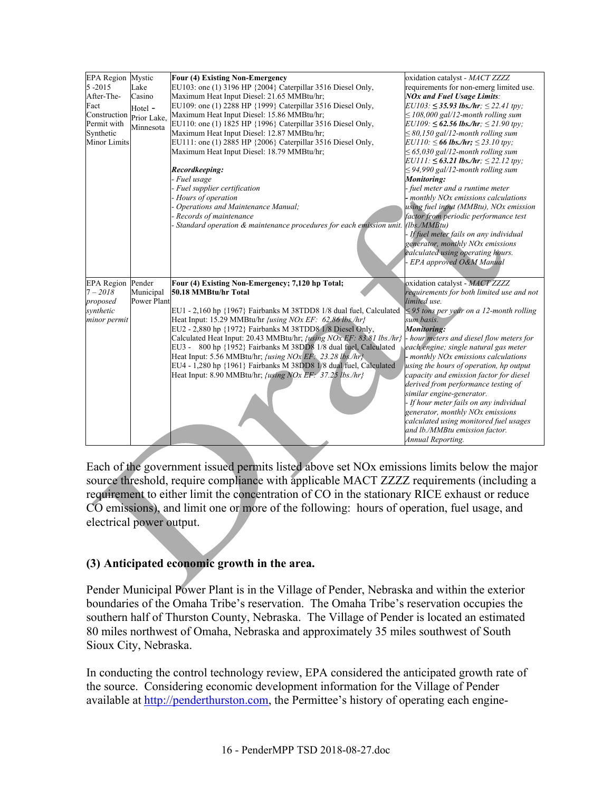| <b>EPA Region Mystic</b> |             | Four (4) Existing Non-Emergency                                       | oxidation catalyst - MACT ZZZZ                 |
|--------------------------|-------------|-----------------------------------------------------------------------|------------------------------------------------|
| $5 - 2015$               | Lake        | EU103: one (1) 3196 HP {2004} Caterpillar 3516 Diesel Only,           | requirements for non-emerg limited use.        |
| After-The-               | Casino      | Maximum Heat Input Diesel: 21.65 MMBtu/hr;                            | <b>NOx and Fuel Usage Limits:</b>              |
| Fact                     | Hotel -     | EU109: one (1) 2288 HP {1999} Caterpillar 3516 Diesel Only,           | $EU103: \leq 35.93$ lbs./hr; $\leq 22.41$ tpy; |
| Construction Prior Lake, |             | Maximum Heat Input Diesel: 15.86 MMBtu/hr;                            | $\leq$ 108,000 gal/12-month rolling sum        |
| Permit with              | Minnesota   | EU110: one (1) 1825 HP {1996} Caterpillar 3516 Diesel Only,           | $EU109: \leq 62.56$ lbs./hr; $\leq 21.90$ tpy; |
| Synthetic                |             | Maximum Heat Input Diesel: 12.87 MMBtu/hr;                            | $\leq$ 80,150 gal/12-month rolling sum         |
| <b>Minor Limits</b>      |             | EU111: one (1) 2885 HP {2006} Caterpillar 3516 Diesel Only,           | $EU110: \leq 66$ lbs./hr; $\leq 23.10$ tpy;    |
|                          |             | Maximum Heat Input Diesel: 18.79 MMBtu/hr;                            | $\leq$ 65,030 gal/12-month rolling sum         |
|                          |             |                                                                       | $EU111: \leq 63.21$ lbs./hr; $\leq 22.12$ tpy; |
|                          |             | Recordkeeping:                                                        | $\leq$ 94,990 gal/12-month rolling sum         |
|                          |             | - Fuel usage                                                          | <b>Monitoring:</b>                             |
|                          |             | - Fuel supplier certification                                         | - fuel meter and a runtime meter               |
|                          |             | Hours of operation                                                    | - monthly NOx emissions calculations           |
|                          |             | - Operations and Maintenance Manual;                                  | using fuel input (MMBtu), NOx emission         |
|                          |             | - Records of maintenance                                              | factor from periodic performance test          |
|                          |             | - Standard operation & maintenance procedures for each emission unit. | (lbs/MMBtu)                                    |
|                          |             |                                                                       | - If fuel meter fails on any individual        |
|                          |             |                                                                       | generator, monthly NOx emissions               |
|                          |             |                                                                       | calculated using operating hours.              |
|                          |             |                                                                       | - EPA approved O&M Manual                      |
|                          |             |                                                                       |                                                |
| <b>EPA</b> Region Pender |             | Four (4) Existing Non-Emergency; 7,120 hp Total;                      | oxidation catalyst - MACT ZZZZ                 |
| $7 - 2018$               | Municipal   | 50.18 MMBtu/hr Total                                                  | requirements for both limited use and not      |
| proposed                 | Power Plant |                                                                       | limited use.                                   |
| synthetic                |             | EU1 - 2,160 hp {1967} Fairbanks M 38TDD8 1/8 dual fuel, Calculated    | $\leq$ 95 tons per year on a 12-month rolling  |
| minor permit             |             | Heat Input: 15.29 MMBtu/hr <i>{using NOx EF: 62.86 lbs/hr}</i>        | sum basis.                                     |
|                          |             | EU2 - 2,880 hp {1972} Fairbanks M 38TDD8 1/8 Diesel Only,             | <b>Monitoring:</b>                             |
|                          |             | Calculated Heat Input: 20.43 MMBtu/hr; /using NOx EF: 83.81 lbs./hr}  | - hour meters and diesel flow meters for       |
|                          |             | EU3 - 800 hp {1952} Fairbanks M 38DD8 1/8 dual fuel, Calculated       | each engine; single natural gas meter          |
|                          |             | Heat Input: 5.56 MMBtu/hr; <i>{using NOx EF</i> : 23.28 lbs./hr}      | - monthly NOx emissions calculations           |
|                          |             | EU4 - 1,280 hp {1961} Fairbanks M 38DD8 1/8 dual fuel, Calculated     | using the hours of operation, hp output        |
|                          |             | Heat Input: 8.90 MMBtu/hr; <i>{using NOx EF: 37.25 lbs./hr}</i>       | capacity and emission factor for diesel        |
|                          |             |                                                                       | derived from performance testing of            |
|                          |             |                                                                       | similar engine-generator.                      |
|                          |             |                                                                       | - If hour meter fails on any individual        |
|                          |             |                                                                       | generator, monthly NOx emissions               |
|                          |             |                                                                       | calculated using monitored fuel usages         |
|                          |             |                                                                       | and lb./MMBtu emission factor.                 |
|                          |             |                                                                       | Annual Reporting.                              |
|                          |             |                                                                       |                                                |

Each of the government issued permits listed above set NOx emissions limits below the major source threshold, require compliance with applicable MACT ZZZZ requirements (including a requirement to either limit the concentration of CO in the stationary RICE exhaust or reduce CO emissions), and limit one or more of the following: hours of operation, fuel usage, and electrical power output.

### **(3) Anticipated economic growth in the area.**

Pender Municipal Power Plant is in the Village of Pender, Nebraska and within the exterior boundaries of the Omaha Tribe's reservation. The Omaha Tribe's reservation occupies the southern half of Thurston County, Nebraska. The Village of Pender is located an estimated 80 miles northwest of Omaha, Nebraska and approximately 35 miles southwest of South Sioux City, Nebraska.

In conducting the control technology review, EPA considered the anticipated growth rate of the source. Considering economic development information for the Village of Pender available at http://penderthurston.com, the Permittee's history of operating each engine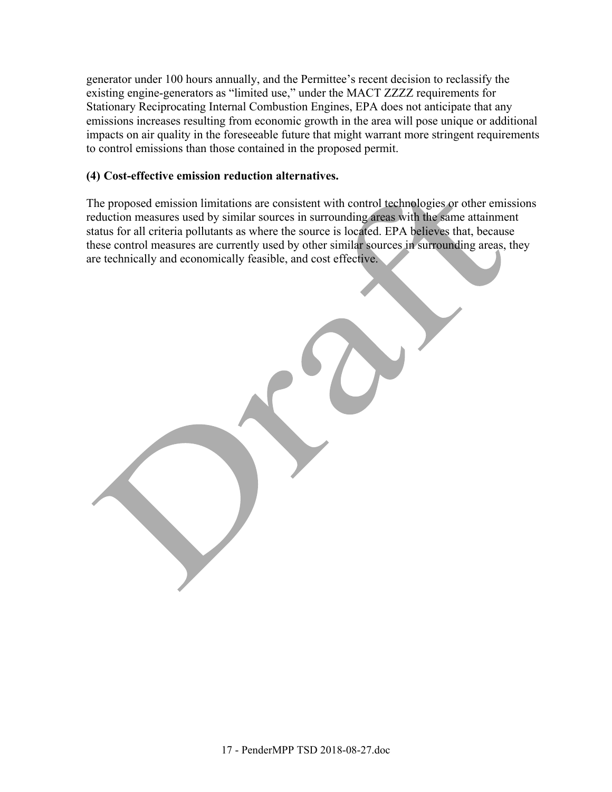generator under 100 hours annually, and the Permittee's recent decision to reclassify the existing engine-generators as "limited use," under the MACT ZZZZ requirements for Stationary Reciprocating Internal Combustion Engines, EPA does not anticipate that any emissions increases resulting from economic growth in the area will pose unique or additional impacts on air quality in the foreseeable future that might warrant more stringent requirements to control emissions than those contained in the proposed permit.

#### **(4) Cost-effective emission reduction alternatives.**

The proposed emission limitations are consistent with control technologies or other emissions reduction measures used by similar sources in surrounding areas with the same attainment status for all criteria pollutants as where the source is located. EPA believes that, because these control measures are currently used by other similar sources in surrounding areas, they are technically and economically feasible, and cost effective.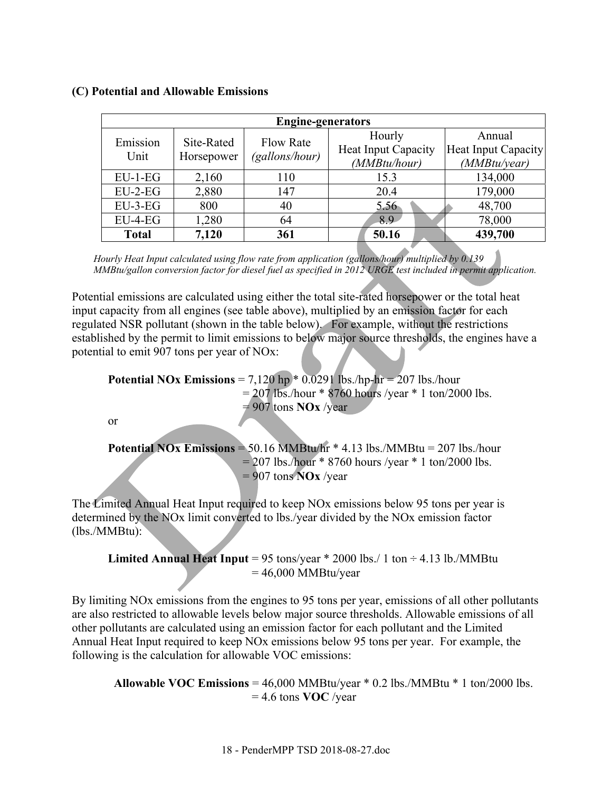|              | <b>Engine-generators</b> |                  |                            |                     |  |  |  |  |  |
|--------------|--------------------------|------------------|----------------------------|---------------------|--|--|--|--|--|
| Emission     | Site-Rated               | <b>Flow Rate</b> | Hourly                     | Annual              |  |  |  |  |  |
| Unit         |                          |                  | <b>Heat Input Capacity</b> | Heat Input Capacity |  |  |  |  |  |
|              | Horsepower               | (gallons/hour)   | (MMBtu/hour)               | (MMBtu/year)        |  |  |  |  |  |
| $EU-1-EG$    | 2,160                    | 110              | 15.3                       | 134,000             |  |  |  |  |  |
| $EU-2-EG$    | 2,880                    | 147              | 20.4                       | 179,000             |  |  |  |  |  |
| $EU-3-EG$    | 800                      | 40               | 5.56                       | 48,700              |  |  |  |  |  |
| $EU-4-EG$    | 1,280                    | 64               | 8.9                        | 78,000              |  |  |  |  |  |
| <b>Total</b> | 7,120                    | 361              | 50.16                      | 439,700             |  |  |  |  |  |

#### **(C) Potential and Allowable Emissions**

*Hourly Heat Input calculated using flow rate from application (gallons/hour) multiplied by 0.139 MMBtu/gallon conversion factor for diesel fuel as specified in 2012 URGE test included in permit application.* 

Potential emissions are calculated using either the total site-rated horsepower or the total heat input capacity from all engines (see table above), multiplied by an emission factor for each regulated NSR pollutant (shown in the table below). For example, without the restrictions established by the permit to limit emissions to below major source thresholds, the engines have a potential to emit 907 tons per year of NOx:

**Potential NOx Emissions** =  $7,120$  hp  $*$  0.0291 lbs./hp-hr = 207 lbs./hour  $= 207$  lbs./hour \* 8760 hours /year \* 1 ton/2000 lbs.  $= 907$  tons **NOx** /year

or

**Potential NOx Emissions** =  $50.16$  MMBtu/hr  $*$  4.13 lbs./MMBtu =  $207$  lbs./hour  $= 207$  lbs./hour \* 8760 hours /year \* 1 ton/2000 lbs. = 907 tons **NOx** /year

The Limited Annual Heat Input required to keep NOx emissions below 95 tons per year is determined by the NOx limit converted to lbs./year divided by the NOx emission factor (lbs./MMBtu):

**Limited Annual Heat Input** = 95 tons/year  $*$  2000 lbs./ 1 ton  $\div$  4.13 lb./MMBtu  $= 46,000$  MMBtu/year

By limiting NOx emissions from the engines to 95 tons per year, emissions of all other pollutants are also restricted to allowable levels below major source thresholds. Allowable emissions of all other pollutants are calculated using an emission factor for each pollutant and the Limited Annual Heat Input required to keep NOx emissions below 95 tons per year. For example, the following is the calculation for allowable VOC emissions:

 **Allowable VOC Emissions** = 46,000 MMBtu/year \* 0.2 lbs./MMBtu \* 1 ton/2000 lbs. = 4.6 tons **VOC** /year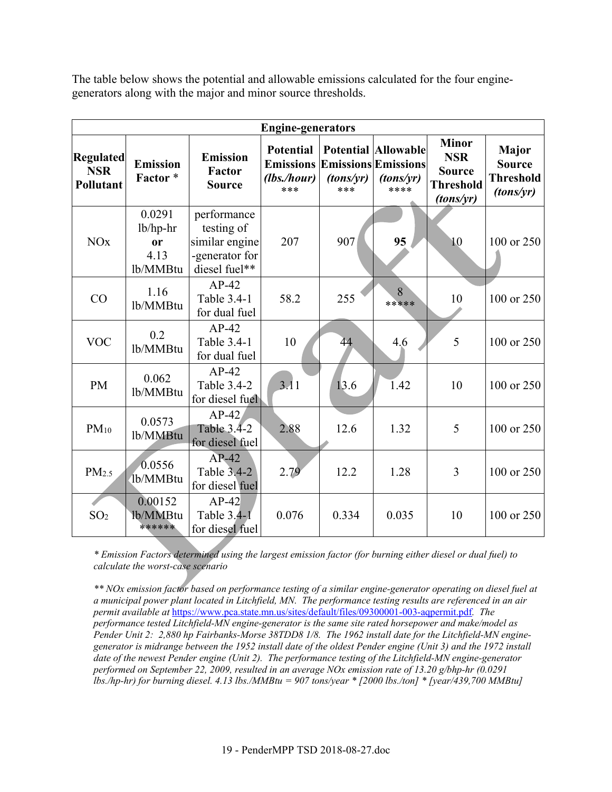The table below shows the potential and allowable emissions calculated for the four enginegenerators along with the major and minor source thresholds.

|                                                    | <b>Engine-generators</b>                            |                                                                                |                                                            |                  |                                                                               |                                                                              |                                                                |  |  |
|----------------------------------------------------|-----------------------------------------------------|--------------------------------------------------------------------------------|------------------------------------------------------------|------------------|-------------------------------------------------------------------------------|------------------------------------------------------------------------------|----------------------------------------------------------------|--|--|
| <b>Regulated</b><br><b>NSR</b><br><b>Pollutant</b> | <b>Emission</b><br>Factor*                          | <b>Emission</b><br>Factor<br><b>Source</b>                                     | <b>Potential</b><br><b>Emissions</b><br>(lbs./hour)<br>*** | (tons/vr)<br>*** | <b>Potential Allowable</b><br><b>Emissions Emissions</b><br>(tons/vr)<br>**** | <b>Minor</b><br><b>NSR</b><br><b>Source</b><br><b>Threshold</b><br>(tons/yr) | <b>Major</b><br><b>Source</b><br><b>Threshold</b><br>(tons/yr) |  |  |
| <b>NO<sub>x</sub></b>                              | 0.0291<br>lb/hp-hr<br><b>or</b><br>4.13<br>lb/MMBtu | performance<br>testing of<br>similar engine<br>-generator for<br>diesel fuel** | 207                                                        | 907              | 95                                                                            | 10                                                                           | 100 or 250                                                     |  |  |
| CO                                                 | 1.16<br>lb/MMBtu                                    | $AP-42$<br>Table 3.4-1<br>for dual fuel                                        | 58.2                                                       | 255              | 8<br>*****                                                                    | 10                                                                           | 100 or 250                                                     |  |  |
| <b>VOC</b>                                         | 0.2<br>lb/MMBtu                                     | $AP-42$<br>Table 3.4-1<br>for dual fuel                                        | 10                                                         | 44               | 4.6                                                                           | 5                                                                            | 100 or 250                                                     |  |  |
| <b>PM</b>                                          | 0.062<br>lb/MMBtu                                   | $AP-42$<br>Table 3.4-2<br>for diesel fuel                                      | 3.11                                                       | 13.6             | 1.42                                                                          | 10                                                                           | 100 or 250                                                     |  |  |
| $PM_{10}$                                          | 0.0573<br>lb/MMBtu                                  | $AP-42$<br>Table 3.4-2<br>for diesel fuel                                      | 2.88                                                       | 12.6             | 1.32                                                                          | 5                                                                            | 100 or 250                                                     |  |  |
| PM <sub>2.5</sub>                                  | 0.0556<br>1b/MMBtu                                  | $AP-42$<br>Table 3.4-2<br>for diesel fuel                                      | 2.79                                                       | 12.2             | 1.28                                                                          | 3                                                                            | 100 or 250                                                     |  |  |
| SO <sub>2</sub>                                    | 0.00152<br>1b/MMBtu<br>******                       | $AP-42$<br>Table 3.4-1<br>for diesel fuel                                      | 0.076                                                      | 0.334            | 0.035                                                                         | 10                                                                           | 100 or 250                                                     |  |  |

*\* Emission Factors determined using the largest emission factor (for burning either diesel or dual fuel) to calculate the worst-case scenario* 

*\*\* NOx emission factor based on performance testing of a similar engine-generator operating on diesel fuel at a municipal power plant located in Litchfield, MN. The performance testing results are referenced in an air permit available at* https://www.pca.state.mn.us/sites/default/files/09300001-003-aqpermit.pdf*. The performance tested Litchfield-MN engine-generator is the same site rated horsepower and make/model as Pender Unit 2: 2,880 hp Fairbanks-Morse 38TDD8 1/8. The 1962 install date for the Litchfield-MN enginegenerator is midrange between the 1952 install date of the oldest Pender engine (Unit 3) and the 1972 install date of the newest Pender engine (Unit 2). The performance testing of the Litchfield-MN engine-generator performed on September 22, 2009, resulted in an average NOx emission rate of 13.20 g/bhp-hr (0.0291 lbs./hp-hr) for burning diesel. 4.13 lbs./MMBtu = 907 tons/year \* [2000 lbs./ton] \* [year/439,700 MMBtu]*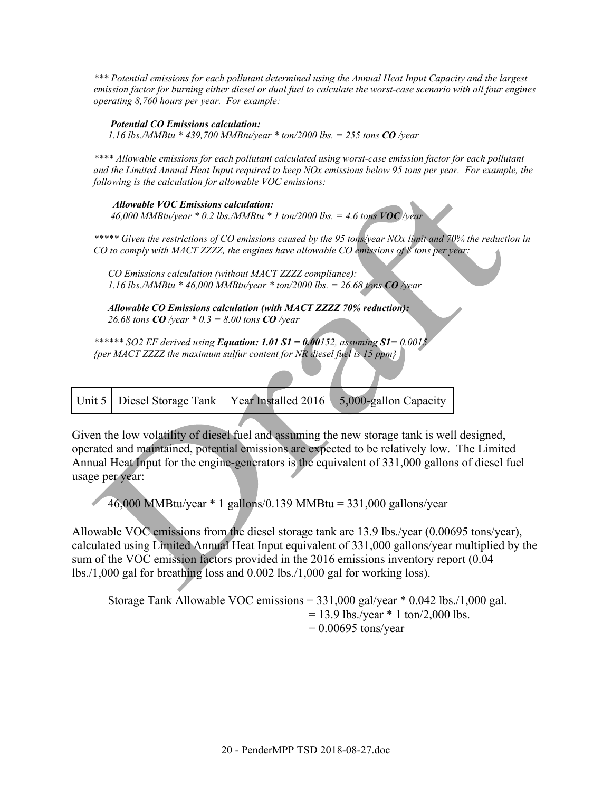*\*\*\* Potential emissions for each pollutant determined using the Annual Heat Input Capacity and the largest emission factor for burning either diesel or dual fuel to calculate the worst-case scenario with all four engines operating 8,760 hours per year. For example:* 

#### *Potential CO Emissions calculation:*

*1.16 lbs./MMBtu \* 439,700 MMBtu/year \* ton/2000 lbs. = 255 tons CO /year* 

*\*\*\*\* Allowable emissions for each pollutant calculated using worst-case emission factor for each pollutant and the Limited Annual Heat Input required to keep NOx emissions below 95 tons per year. For example, the following is the calculation for allowable VOC emissions:* 

 *Allowable VOC Emissions calculation:*  46,000 MMBtu/year  $*$  0.2 lbs./MMBtu  $*$  1 ton/2000 lbs. = 4.6 tons  $VOC$ /year

*\*\*\*\*\* Given the restrictions of CO emissions caused by the 95 tons/year NOx limit and 70% the reduction in CO to comply with MACT ZZZZ, the engines have allowable CO emissions of 8 tons per year:* 

*CO Emissions calculation (without MACT ZZZZ compliance): 1.16 lbs./MMBtu \* 46,000 MMBtu/year \* ton/2000 lbs. = 26.68 tons CO /year* 

*Allowable CO Emissions calculation (with MACT ZZZZ 70% reduction): 26.68 tons CO /year \* 0.3 = 8.00 tons CO /year* 

*\*\*\*\*\*\* SO2 EF derived using Equation: 1.01 S1 = 0.00152, assuming S1= 0.0015 {per MACT ZZZZ the maximum sulfur content for NR diesel fuel is 15 ppm}* 

|  | Unit 5   Diesel Storage Tank   Year Installed 2016   5,000-gallon Capacity |
|--|----------------------------------------------------------------------------|
|  |                                                                            |

Given the low volatility of diesel fuel and assuming the new storage tank is well designed, operated and maintained, potential emissions are expected to be relatively low. The Limited Annual Heat Input for the engine-generators is the equivalent of 331,000 gallons of diesel fuel usage per year:

46,000 MMBtu/year \* 1 gallons/0.139 MMBtu = 331,000 gallons/year

Allowable VOC emissions from the diesel storage tank are 13.9 lbs./year (0.00695 tons/year), calculated using Limited Annual Heat Input equivalent of 331,000 gallons/year multiplied by the sum of the VOC emission factors provided in the 2016 emissions inventory report (0.04 lbs./1,000 gal for breathing loss and 0.002 lbs./1,000 gal for working loss).

```
Storage Tank Allowable VOC emissions = 331,000 gal/year * 0.042 lbs./1,000 gal.
                            = 13.9 lbs./year * 1 ton/2,000 lbs.
                            = 0.00695 tons/year
```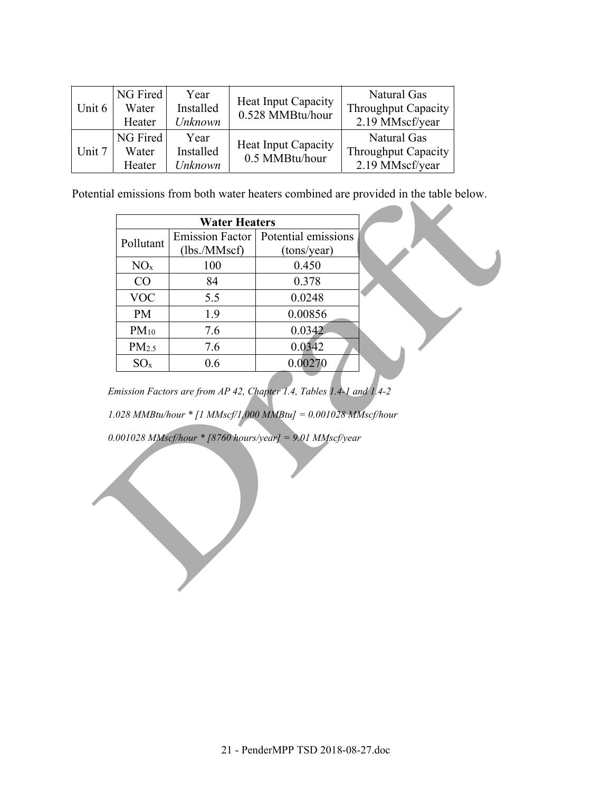| Unit 6 | NG Fired<br>Water<br>Heater | Year<br>Installed<br>Unknown | Heat Input Capacity<br>0.528 MMBtu/hour      | Natural Gas<br><b>Throughput Capacity</b><br>2.19 MMscf/year |
|--------|-----------------------------|------------------------------|----------------------------------------------|--------------------------------------------------------------|
| Unit 7 | NG Fired<br>Water<br>Heater | Year<br>Installed<br>Unknown | <b>Heat Input Capacity</b><br>0.5 MMBtu/hour | Natural Gas<br>Throughput Capacity<br>2.19 MMscf/year        |

Potential emissions from both water heaters combined are provided in the table below.

|                   | <b>Water Heaters</b> |                                       |  |
|-------------------|----------------------|---------------------------------------|--|
| Pollutant         |                      | Emission Factor   Potential emissions |  |
|                   | (lbs/MMsc)           | (tons/year)                           |  |
| NO <sub>x</sub>   | 100                  | 0.450                                 |  |
| CO                | 84                   | 0.378                                 |  |
| <b>VOC</b>        | 5.5                  | 0.0248                                |  |
| <b>PM</b>         | 1.9                  | 0.00856                               |  |
| $PM_{10}$         | 7.6                  | 0.0342                                |  |
| PM <sub>2.5</sub> | 7.6                  | 0.0342                                |  |
| $SO_{X}$          | 0.6                  | 0.00270                               |  |

*Emission Factors are from AP 42, Chapter 1.4, Tables 1.4-1 and 1.4-2* 

*1.028 MMBtu/hour \* [1 MMscf/1,000 MMBtu] = 0.001028 MMscf/hour* 

*0.001028 MMscf/hour \* [8760 hours/year] = 9.01 MMscf/year*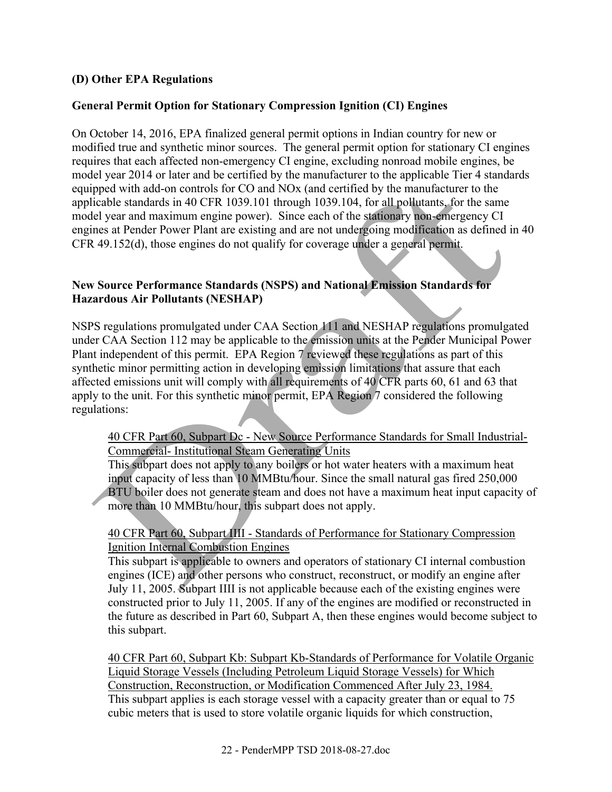#### **(D) Other EPA Regulations**

#### **General Permit Option for Stationary Compression Ignition (CI) Engines**

On October 14, 2016, EPA finalized general permit options in Indian country for new or modified true and synthetic minor sources. The general permit option for stationary CI engines requires that each affected non-emergency CI engine, excluding nonroad mobile engines, be model year 2014 or later and be certified by the manufacturer to the applicable Tier 4 standards equipped with add-on controls for CO and NOx (and certified by the manufacturer to the applicable standards in 40 CFR 1039.101 through 1039.104, for all pollutants, for the same model year and maximum engine power). Since each of the stationary non-emergency CI engines at Pender Power Plant are existing and are not undergoing modification as defined in 40 CFR 49.152(d), those engines do not qualify for coverage under a general permit.

#### **New Source Performance Standards (NSPS) and National Emission Standards for Hazardous Air Pollutants (NESHAP)**

NSPS regulations promulgated under CAA Section 111 and NESHAP regulations promulgated under CAA Section 112 may be applicable to the emission units at the Pender Municipal Power Plant independent of this permit. EPA Region 7 reviewed these regulations as part of this synthetic minor permitting action in developing emission limitations that assure that each affected emissions unit will comply with all requirements of 40 CFR parts 60, 61 and 63 that apply to the unit. For this synthetic minor permit, EPA Region 7 considered the following regulations:

#### 40 CFR Part 60, Subpart Dc - New Source Performance Standards for Small Industrial-Commercial- Institutional Steam Generating Units

This subpart does not apply to any boilers or hot water heaters with a maximum heat input capacity of less than 10 MMBtu/hour. Since the small natural gas fired 250,000 BTU boiler does not generate steam and does not have a maximum heat input capacity of more than 10 MMBtu/hour, this subpart does not apply.

#### 40 CFR Part 60, Subpart IIII - Standards of Performance for Stationary Compression Ignition Internal Combustion Engines

This subpart is applicable to owners and operators of stationary CI internal combustion engines (ICE) and other persons who construct, reconstruct, or modify an engine after July 11, 2005. Subpart IIII is not applicable because each of the existing engines were constructed prior to July 11, 2005. If any of the engines are modified or reconstructed in the future as described in Part 60, Subpart A, then these engines would become subject to this subpart.

40 CFR Part 60, Subpart Kb: Subpart Kb-Standards of Performance for Volatile Organic Liquid Storage Vessels (Including Petroleum Liquid Storage Vessels) for Which Construction, Reconstruction, or Modification Commenced After July 23, 1984. This subpart applies is each storage vessel with a capacity greater than or equal to 75 cubic meters that is used to store volatile organic liquids for which construction,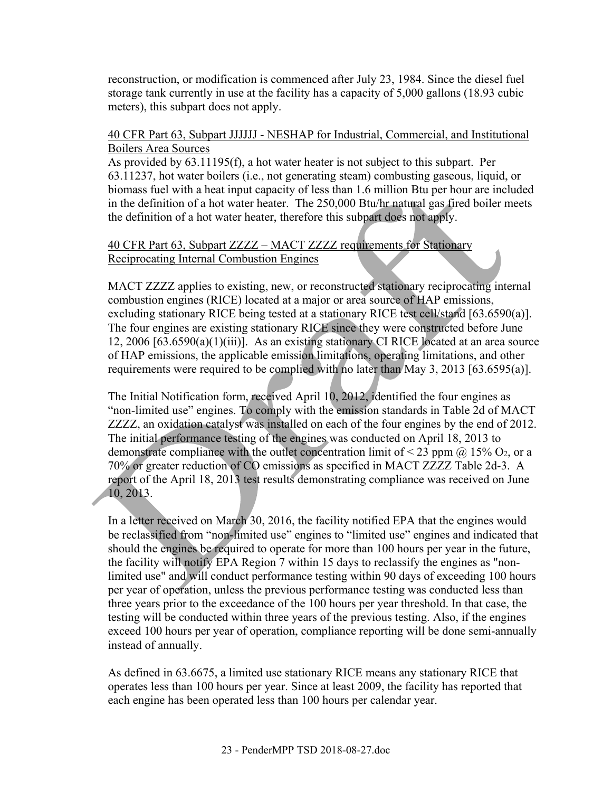reconstruction, or modification is commenced after July 23, 1984. Since the diesel fuel storage tank currently in use at the facility has a capacity of 5,000 gallons (18.93 cubic meters), this subpart does not apply.

#### 40 CFR Part 63, Subpart JJJJJJ - NESHAP for Industrial, Commercial, and Institutional Boilers Area Sources

As provided by 63.11195(f), a hot water heater is not subject to this subpart. Per 63.11237, hot water boilers (i.e., not generating steam) combusting gaseous, liquid, or biomass fuel with a heat input capacity of less than 1.6 million Btu per hour are included in the definition of a hot water heater. The 250,000 Btu/hr natural gas fired boiler meets the definition of a hot water heater, therefore this subpart does not apply.

## 40 CFR Part 63, Subpart ZZZZ – MACT ZZZZ requirements for Stationary Reciprocating Internal Combustion Engines

MACT ZZZZ applies to existing, new, or reconstructed stationary reciprocating internal combustion engines (RICE) located at a major or area source of HAP emissions, excluding stationary RICE being tested at a stationary RICE test cell/stand [63.6590(a)]. The four engines are existing stationary RICE since they were constructed before June 12, 2006 [63.6590(a)(1)(iii)]. As an existing stationary CI RICE located at an area source of HAP emissions, the applicable emission limitations, operating limitations, and other requirements were required to be complied with no later than May 3, 2013 [63.6595(a)].

The Initial Notification form, received April 10, 2012, identified the four engines as "non-limited use" engines. To comply with the emission standards in Table 2d of MACT ZZZZ, an oxidation catalyst was installed on each of the four engines by the end of 2012. The initial performance testing of the engines was conducted on April 18, 2013 to demonstrate compliance with the outlet concentration limit of  $\leq$  23 ppm  $\omega$  15% O<sub>2</sub>, or a 70% or greater reduction of CO emissions as specified in MACT ZZZZ Table 2d-3. A report of the April 18, 2013 test results demonstrating compliance was received on June 10, 2013.

In a letter received on March 30, 2016, the facility notified EPA that the engines would be reclassified from "non-limited use" engines to "limited use" engines and indicated that should the engines be required to operate for more than 100 hours per year in the future, the facility will notify EPA Region 7 within 15 days to reclassify the engines as "nonlimited use" and will conduct performance testing within 90 days of exceeding 100 hours per year of operation, unless the previous performance testing was conducted less than three years prior to the exceedance of the 100 hours per year threshold. In that case, the testing will be conducted within three years of the previous testing. Also, if the engines exceed 100 hours per year of operation, compliance reporting will be done semi-annually instead of annually.

As defined in 63.6675, a limited use stationary RICE means any stationary RICE that operates less than 100 hours per year. Since at least 2009, the facility has reported that each engine has been operated less than 100 hours per calendar year.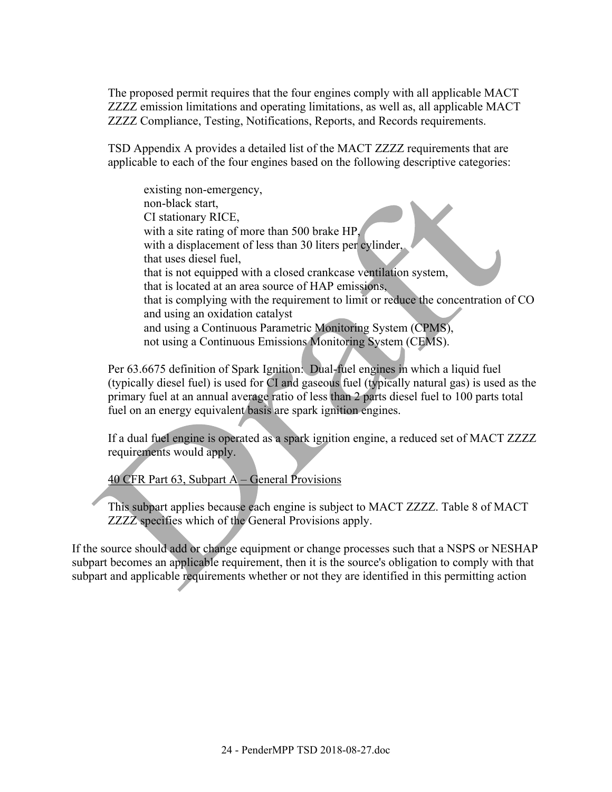The proposed permit requires that the four engines comply with all applicable MACT ZZZZ emission limitations and operating limitations, as well as, all applicable MACT ZZZZ Compliance, Testing, Notifications, Reports, and Records requirements.

TSD Appendix A provides a detailed list of the MACT ZZZZ requirements that are applicable to each of the four engines based on the following descriptive categories:

existing non-emergency, non-black start, CI stationary RICE, with a site rating of more than 500 brake HP, with a displacement of less than 30 liters per cylinder, that uses diesel fuel, that is not equipped with a closed crankcase ventilation system, that is located at an area source of HAP emissions, that is complying with the requirement to limit or reduce the concentration of CO and using an oxidation catalyst and using a Continuous Parametric Monitoring System (CPMS), not using a Continuous Emissions Monitoring System (CEMS).

Per 63.6675 definition of Spark Ignition: Dual-fuel engines in which a liquid fuel (typically diesel fuel) is used for CI and gaseous fuel (typically natural gas) is used as the primary fuel at an annual average ratio of less than 2 parts diesel fuel to 100 parts total fuel on an energy equivalent basis are spark ignition engines.

If a dual fuel engine is operated as a spark ignition engine, a reduced set of MACT ZZZZ requirements would apply.

40 CFR Part 63, Subpart A – General Provisions

This subpart applies because each engine is subject to MACT ZZZZ. Table 8 of MACT ZZZZ specifies which of the General Provisions apply.

If the source should add or change equipment or change processes such that a NSPS or NESHAP subpart becomes an applicable requirement, then it is the source's obligation to comply with that subpart and applicable requirements whether or not they are identified in this permitting action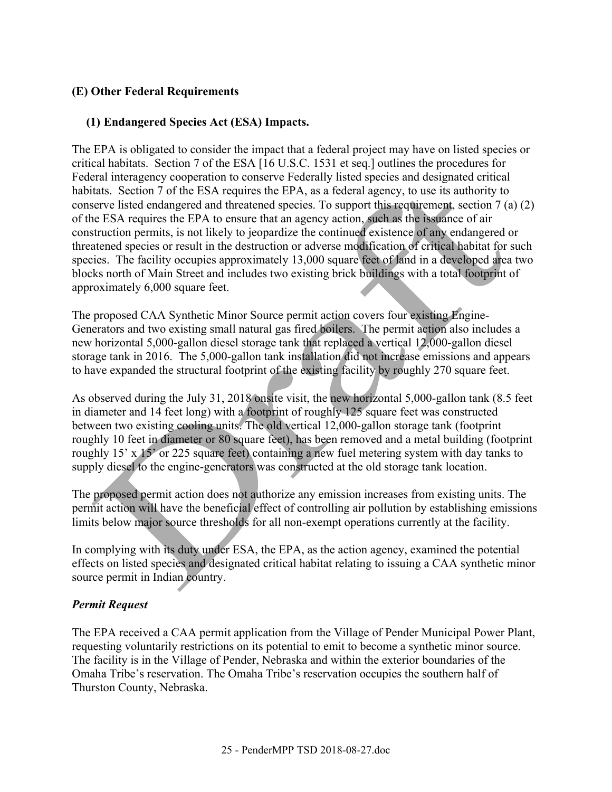## **(E) Other Federal Requirements**

#### **(1) Endangered Species Act (ESA) Impacts.**

The EPA is obligated to consider the impact that a federal project may have on listed species or critical habitats. Section 7 of the ESA [16 U.S.C. 1531 et seq.] outlines the procedures for Federal interagency cooperation to conserve Federally listed species and designated critical habitats. Section 7 of the ESA requires the EPA, as a federal agency, to use its authority to conserve listed endangered and threatened species. To support this requirement, section 7 (a) (2) of the ESA requires the EPA to ensure that an agency action, such as the issuance of air construction permits, is not likely to jeopardize the continued existence of any endangered or threatened species or result in the destruction or adverse modification of critical habitat for such species. The facility occupies approximately 13,000 square feet of land in a developed area two blocks north of Main Street and includes two existing brick buildings with a total footprint of approximately 6,000 square feet.

The proposed CAA Synthetic Minor Source permit action covers four existing Engine-Generators and two existing small natural gas fired boilers. The permit action also includes a new horizontal 5,000-gallon diesel storage tank that replaced a vertical 12,000-gallon diesel storage tank in 2016. The 5,000-gallon tank installation did not increase emissions and appears to have expanded the structural footprint of the existing facility by roughly 270 square feet.

As observed during the July 31, 2018 onsite visit, the new horizontal 5,000-gallon tank (8.5 feet in diameter and 14 feet long) with a footprint of roughly 125 square feet was constructed between two existing cooling units. The old vertical 12,000-gallon storage tank (footprint roughly 10 feet in diameter or 80 square feet), has been removed and a metal building (footprint roughly 15' x 15' or 225 square feet) containing a new fuel metering system with day tanks to supply diesel to the engine-generators was constructed at the old storage tank location.

The proposed permit action does not authorize any emission increases from existing units. The permit action will have the beneficial effect of controlling air pollution by establishing emissions limits below major source thresholds for all non-exempt operations currently at the facility.

In complying with its duty under ESA, the EPA, as the action agency, examined the potential effects on listed species and designated critical habitat relating to issuing a CAA synthetic minor source permit in Indian country.

#### *Permit Request*

The EPA received a CAA permit application from the Village of Pender Municipal Power Plant, requesting voluntarily restrictions on its potential to emit to become a synthetic minor source. The facility is in the Village of Pender, Nebraska and within the exterior boundaries of the Omaha Tribe's reservation. The Omaha Tribe's reservation occupies the southern half of Thurston County, Nebraska.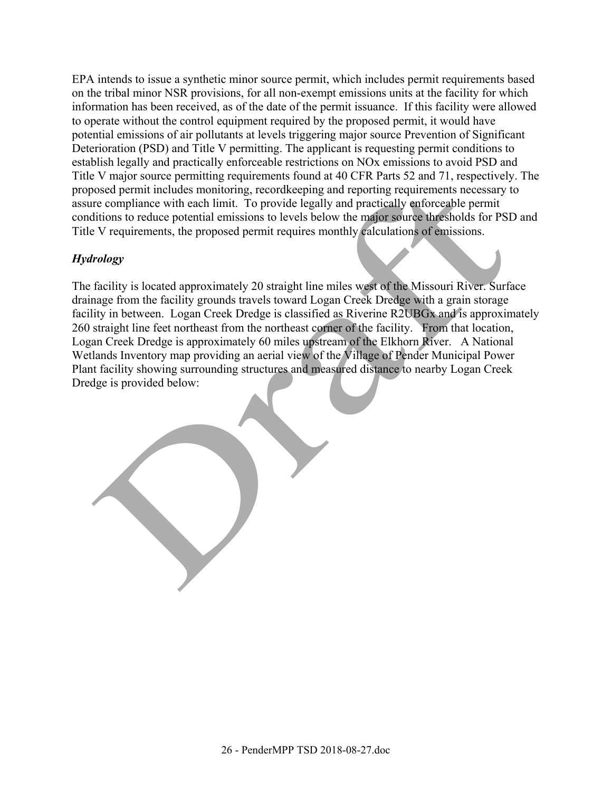EPA intends to issue a synthetic minor source permit, which includes permit requirements based on the tribal minor NSR provisions, for all non-exempt emissions units at the facility for which information has been received, as of the date of the permit issuance. If this facility were allowed to operate without the control equipment required by the proposed permit, it would have potential emissions of air pollutants at levels triggering major source Prevention of Significant Deterioration (PSD) and Title V permitting. The applicant is requesting permit conditions to establish legally and practically enforceable restrictions on NOx emissions to avoid PSD and Title V major source permitting requirements found at 40 CFR Parts 52 and 71, respectively. The proposed permit includes monitoring, recordkeeping and reporting requirements necessary to assure compliance with each limit. To provide legally and practically enforceable permit conditions to reduce potential emissions to levels below the major source thresholds for PSD and Title V requirements, the proposed permit requires monthly calculations of emissions.

## *Hydrology*

The facility is located approximately 20 straight line miles west of the Missouri River. Surface drainage from the facility grounds travels toward Logan Creek Dredge with a grain storage facility in between. Logan Creek Dredge is classified as Riverine R2UBGx and is approximately 260 straight line feet northeast from the northeast corner of the facility. From that location, Logan Creek Dredge is approximately 60 miles upstream of the Elkhorn River. A National Wetlands Inventory map providing an aerial view of the Village of Pender Municipal Power Plant facility showing surrounding structures and measured distance to nearby Logan Creek Dredge is provided below: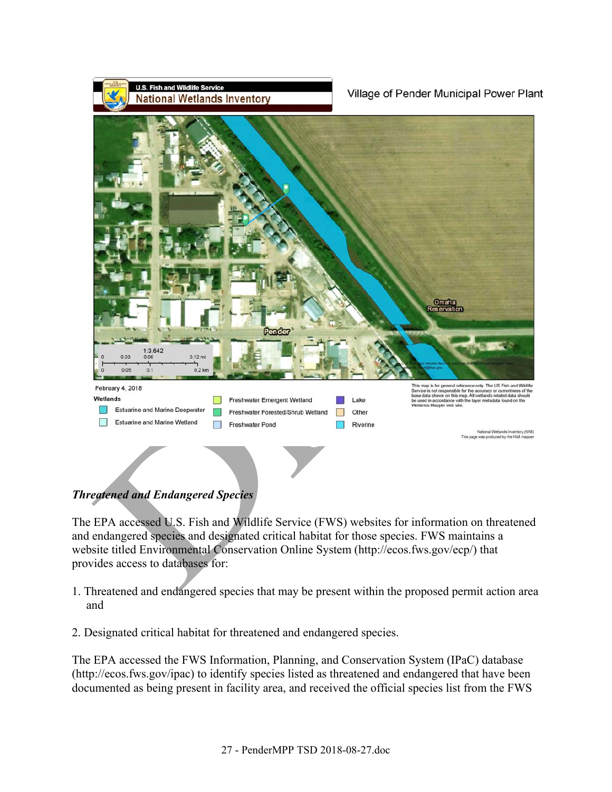

The EPA accessed U.S. Fish and Wildlife Service (FWS) websites for information on threatened and endangered species and designated critical habitat for those species. FWS maintains a website titled Environmental Conservation Online System (http://ecos.fws.gov/ecp/) that provides access to databases for:

- 1. Threatened and endangered species that may be present within the proposed permit action area and
- 2. Designated critical habitat for threatened and endangered species.

The EPA accessed the FWS Information, Planning, and Conservation System (IPaC) database (http://ecos.fws.gov/ipac) to identify species listed as threatened and endangered that have been documented as being present in facility area, and received the official species list from the FWS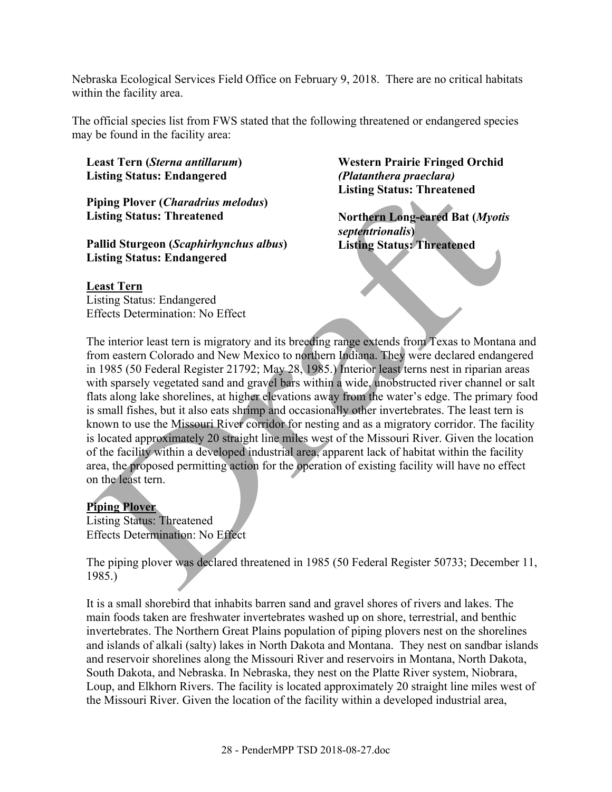Nebraska Ecological Services Field Office on February 9, 2018. There are no critical habitats within the facility area.

The official species list from FWS stated that the following threatened or endangered species may be found in the facility area:

**Least Tern (***Sterna antillarum***) Listing Status: Endangered** 

**Piping Plover (***Charadrius melodus***) Listing Status: Threatened** 

**Pallid Sturgeon (***Scaphirhynchus albus***) Listing Status: Endangered** 

**Western Prairie Fringed Orchid**  *(Platanthera praeclara)*  **Listing Status: Threatened**

**Northern Long-eared Bat (***Myotis septentrionalis***) Listing Status: Threatened** 

#### **Least Tern**

Listing Status: Endangered Effects Determination: No Effect

The interior least tern is migratory and its breeding range extends from Texas to Montana and from eastern Colorado and New Mexico to northern Indiana. They were declared endangered in 1985 (50 Federal Register 21792; May 28, 1985.) Interior least terns nest in riparian areas with sparsely vegetated sand and gravel bars within a wide, unobstructed river channel or salt flats along lake shorelines, at higher elevations away from the water's edge. The primary food is small fishes, but it also eats shrimp and occasionally other invertebrates. The least tern is known to use the Missouri River corridor for nesting and as a migratory corridor. The facility is located approximately 20 straight line miles west of the Missouri River. Given the location of the facility within a developed industrial area, apparent lack of habitat within the facility area, the proposed permitting action for the operation of existing facility will have no effect on the least tern.

### **Piping Plover**

Listing Status: Threatened Effects Determination: No Effect

The piping plover was declared threatened in 1985 (50 Federal Register 50733; December 11, 1985.)

It is a small shorebird that inhabits barren sand and gravel shores of rivers and lakes. The main foods taken are freshwater invertebrates washed up on shore, terrestrial, and benthic invertebrates. The Northern Great Plains population of piping plovers nest on the shorelines and islands of alkali (salty) lakes in North Dakota and Montana. They nest on sandbar islands and reservoir shorelines along the Missouri River and reservoirs in Montana, North Dakota, South Dakota, and Nebraska. In Nebraska, they nest on the Platte River system, Niobrara, Loup, and Elkhorn Rivers. The facility is located approximately 20 straight line miles west of the Missouri River. Given the location of the facility within a developed industrial area,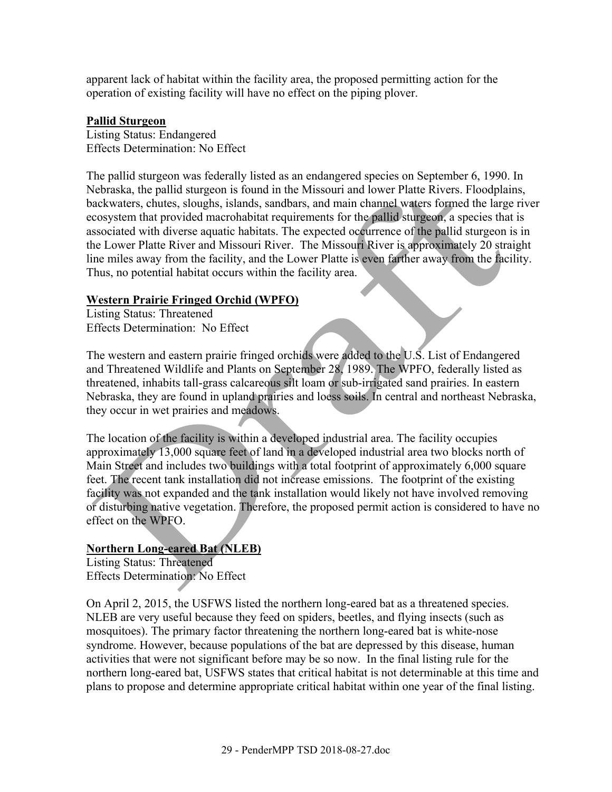apparent lack of habitat within the facility area, the proposed permitting action for the operation of existing facility will have no effect on the piping plover.

#### **Pallid Sturgeon**

Listing Status: Endangered Effects Determination: No Effect

The pallid sturgeon was federally listed as an endangered species on September 6, 1990. In Nebraska, the pallid sturgeon is found in the Missouri and lower Platte Rivers. Floodplains, backwaters, chutes, sloughs, islands, sandbars, and main channel waters formed the large river ecosystem that provided macrohabitat requirements for the pallid sturgeon, a species that is associated with diverse aquatic habitats. The expected occurrence of the pallid sturgeon is in the Lower Platte River and Missouri River. The Missouri River is approximately 20 straight line miles away from the facility, and the Lower Platte is even farther away from the facility. Thus, no potential habitat occurs within the facility area.

### **Western Prairie Fringed Orchid (WPFO)**

Listing Status: Threatened Effects Determination: No Effect

The western and eastern prairie fringed orchids were added to the U.S. List of Endangered and Threatened Wildlife and Plants on September 28, 1989. The WPFO, federally listed as threatened, inhabits tall-grass calcareous silt loam or sub-irrigated sand prairies. In eastern Nebraska, they are found in upland prairies and loess soils. In central and northeast Nebraska, they occur in wet prairies and meadows.

The location of the facility is within a developed industrial area. The facility occupies approximately 13,000 square feet of land in a developed industrial area two blocks north of Main Street and includes two buildings with a total footprint of approximately 6,000 square feet. The recent tank installation did not increase emissions. The footprint of the existing facility was not expanded and the tank installation would likely not have involved removing or disturbing native vegetation. Therefore, the proposed permit action is considered to have no effect on the WPFO.

### **Northern Long-eared Bat (NLEB)**

Listing Status: Threatened Effects Determination: No Effect

On April 2, 2015, the USFWS listed the northern long-eared bat as a threatened species. NLEB are very useful because they feed on spiders, beetles, and flying insects (such as mosquitoes). The primary factor threatening the northern long-eared bat is white-nose syndrome. However, because populations of the bat are depressed by this disease, human activities that were not significant before may be so now. In the final listing rule for the northern long-eared bat, USFWS states that critical habitat is not determinable at this time and plans to propose and determine appropriate critical habitat within one year of the final listing.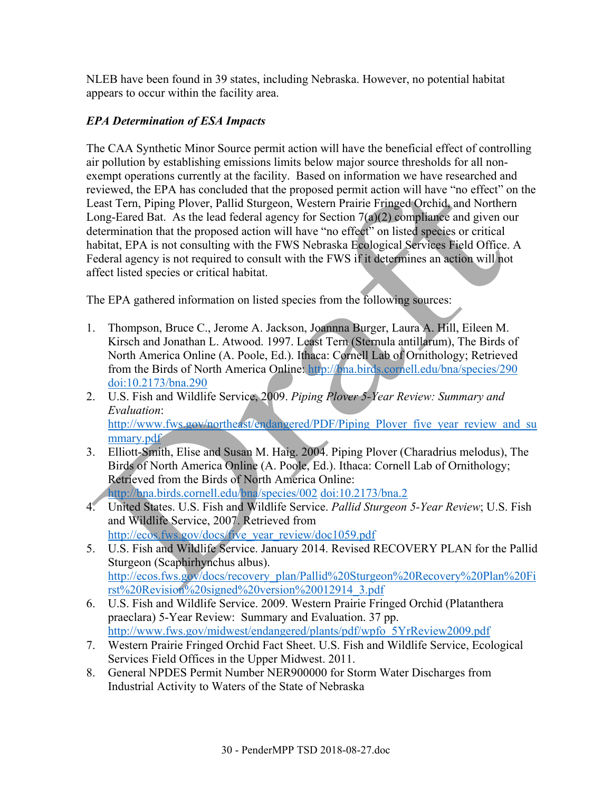NLEB have been found in 39 states, including Nebraska. However, no potential habitat appears to occur within the facility area.

## *EPA Determination of ESA Impacts*

The CAA Synthetic Minor Source permit action will have the beneficial effect of controlling air pollution by establishing emissions limits below major source thresholds for all nonexempt operations currently at the facility. Based on information we have researched and reviewed, the EPA has concluded that the proposed permit action will have "no effect" on the Least Tern, Piping Plover, Pallid Sturgeon, Western Prairie Fringed Orchid, and Northern Long-Eared Bat. As the lead federal agency for Section  $7(a)(2)$  compliance and given our determination that the proposed action will have "no effect" on listed species or critical habitat, EPA is not consulting with the FWS Nebraska Ecological Services Field Office. A Federal agency is not required to consult with the FWS if it determines an action will not affect listed species or critical habitat.

The EPA gathered information on listed species from the following sources:

- 1. Thompson, Bruce C., Jerome A. Jackson, Joannna Burger, Laura A. Hill, Eileen M. Kirsch and Jonathan L. Atwood. 1997. Least Tern (Sternula antillarum), The Birds of North America Online (A. Poole, Ed.). Ithaca: Cornell Lab of Ornithology; Retrieved from the Birds of North America Online: http://bna.birds.cornell.edu/bna/species/290 doi:10.2173/bna.290
- 2. U.S. Fish and Wildlife Service, 2009. *Piping Plover 5-Year Review: Summary and Evaluation*: http://www.fws.gov/northeast/endangered/PDF/Piping\_Plover\_five\_year\_review\_and\_su mmary.pdf
- 3. Elliott-Smith, Elise and Susan M. Haig. 2004. Piping Plover (Charadrius melodus), The Birds of North America Online (A. Poole, Ed.). Ithaca: Cornell Lab of Ornithology; Retrieved from the Birds of North America Online: http://bna.birds.cornell.edu/bna/species/002 doi:10.2173/bna.2
- 4. United States. U.S. Fish and Wildlife Service. *Pallid Sturgeon 5-Year Review*; U.S. Fish and Wildlife Service, 2007. Retrieved from http://ecos.fws.gov/docs/five\_year\_review/doc1059.pdf
- 5. U.S. Fish and Wildlife Service. January 2014. Revised RECOVERY PLAN for the Pallid Sturgeon (Scaphirhynchus albus). http://ecos.fws.gov/docs/recovery\_plan/Pallid%20Sturgeon%20Recovery%20Plan%20Fi rst%20Revision%20signed%20version%20012914\_3.pdf
- 6. U.S. Fish and Wildlife Service. 2009. Western Prairie Fringed Orchid (Platanthera praeclara) 5-Year Review: Summary and Evaluation. 37 pp. http://www.fws.gov/midwest/endangered/plants/pdf/wpfo\_5YrReview2009.pdf
- 7. Western Prairie Fringed Orchid Fact Sheet. U.S. Fish and Wildlife Service, Ecological Services Field Offices in the Upper Midwest. 2011.
- 8. General NPDES Permit Number NER900000 for Storm Water Discharges from Industrial Activity to Waters of the State of Nebraska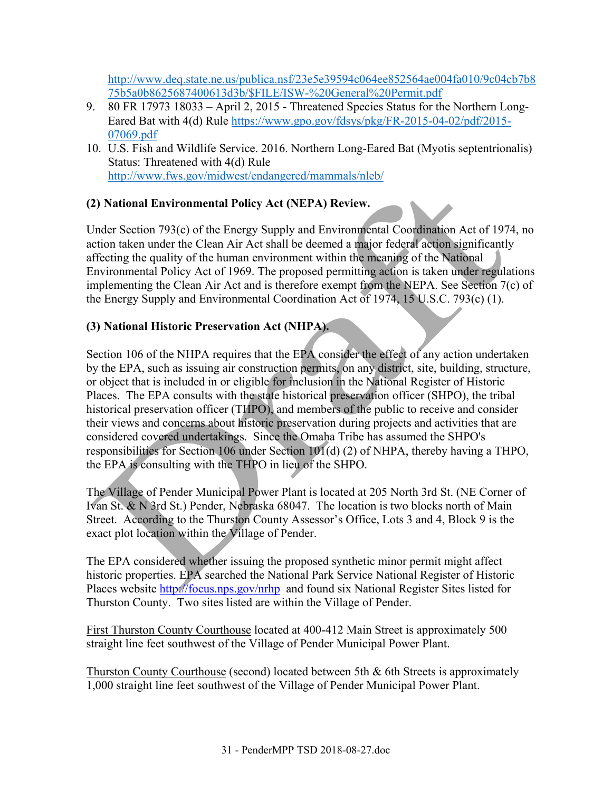http://www.deq.state.ne.us/publica.nsf/23e5e39594c064ee852564ae004fa010/9c04cb7b8 75b5a0b8625687400613d3b/\$FILE/ISW-%20General%20Permit.pdf

- 9. 80 FR 17973 18033 April 2, 2015 Threatened Species Status for the Northern Long-Eared Bat with 4(d) Rule https://www.gpo.gov/fdsys/pkg/FR-2015-04-02/pdf/2015- 07069.pdf
- 10. U.S. Fish and Wildlife Service. 2016. Northern Long-Eared Bat (Myotis septentrionalis) Status: Threatened with 4(d) Rule http://www.fws.gov/midwest/endangered/mammals/nleb/

## **(2) National Environmental Policy Act (NEPA) Review.**

Under Section 793(c) of the Energy Supply and Environmental Coordination Act of 1974, no action taken under the Clean Air Act shall be deemed a major federal action significantly affecting the quality of the human environment within the meaning of the National Environmental Policy Act of 1969. The proposed permitting action is taken under regulations implementing the Clean Air Act and is therefore exempt from the NEPA. See Section 7(c) of the Energy Supply and Environmental Coordination Act of 1974, 15 U.S.C. 793(c) (1).

## **(3) National Historic Preservation Act (NHPA).**

Section 106 of the NHPA requires that the EPA consider the effect of any action undertaken by the EPA, such as issuing air construction permits, on any district, site, building, structure, or object that is included in or eligible for inclusion in the National Register of Historic Places. The EPA consults with the state historical preservation officer (SHPO), the tribal historical preservation officer (THPO), and members of the public to receive and consider their views and concerns about historic preservation during projects and activities that are considered covered undertakings. Since the Omaha Tribe has assumed the SHPO's responsibilities for Section 106 under Section 101(d) (2) of NHPA, thereby having a THPO, the EPA is consulting with the THPO in lieu of the SHPO.

The Village of Pender Municipal Power Plant is located at 205 North 3rd St. (NE Corner of Ivan St. & N 3rd St.) Pender, Nebraska 68047. The location is two blocks north of Main Street. According to the Thurston County Assessor's Office, Lots 3 and 4, Block 9 is the exact plot location within the Village of Pender.

The EPA considered whether issuing the proposed synthetic minor permit might affect historic properties. EPA searched the National Park Service National Register of Historic Places website http://focus.nps.gov/nrhp and found six National Register Sites listed for Thurston County. Two sites listed are within the Village of Pender.

First Thurston County Courthouse located at 400-412 Main Street is approximately 500 straight line feet southwest of the Village of Pender Municipal Power Plant.

Thurston County Courthouse (second) located between 5th & 6th Streets is approximately 1,000 straight line feet southwest of the Village of Pender Municipal Power Plant.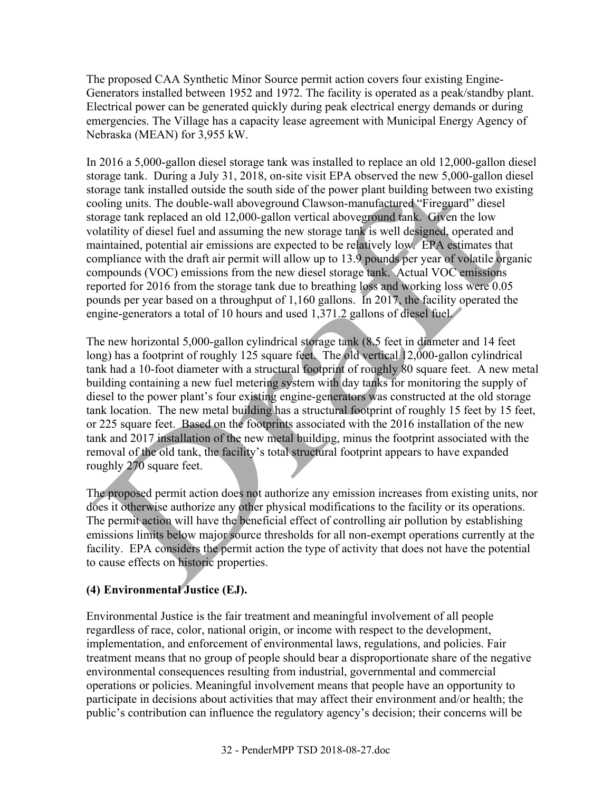The proposed CAA Synthetic Minor Source permit action covers four existing Engine-Generators installed between 1952 and 1972. The facility is operated as a peak/standby plant. Electrical power can be generated quickly during peak electrical energy demands or during emergencies. The Village has a capacity lease agreement with Municipal Energy Agency of Nebraska (MEAN) for 3,955 kW.

In 2016 a 5,000-gallon diesel storage tank was installed to replace an old 12,000-gallon diesel storage tank. During a July 31, 2018, on-site visit EPA observed the new 5,000-gallon diesel storage tank installed outside the south side of the power plant building between two existing cooling units. The double-wall aboveground Clawson-manufactured "Fireguard" diesel storage tank replaced an old 12,000-gallon vertical aboveground tank. Given the low volatility of diesel fuel and assuming the new storage tank is well designed, operated and maintained, potential air emissions are expected to be relatively low. EPA estimates that compliance with the draft air permit will allow up to 13.9 pounds per year of volatile organic compounds (VOC) emissions from the new diesel storage tank. Actual VOC emissions reported for 2016 from the storage tank due to breathing loss and working loss were 0.05 pounds per year based on a throughput of 1,160 gallons. In 2017, the facility operated the engine-generators a total of 10 hours and used 1,371.2 gallons of diesel fuel.

The new horizontal 5,000-gallon cylindrical storage tank (8.5 feet in diameter and 14 feet long) has a footprint of roughly 125 square feet. The old vertical 12,000-gallon cylindrical tank had a 10-foot diameter with a structural footprint of roughly 80 square feet. A new metal building containing a new fuel metering system with day tanks for monitoring the supply of diesel to the power plant's four existing engine-generators was constructed at the old storage tank location. The new metal building has a structural footprint of roughly 15 feet by 15 feet, or 225 square feet. Based on the footprints associated with the 2016 installation of the new tank and 2017 installation of the new metal building, minus the footprint associated with the removal of the old tank, the facility's total structural footprint appears to have expanded roughly 270 square feet.

The proposed permit action does not authorize any emission increases from existing units, nor does it otherwise authorize any other physical modifications to the facility or its operations. The permit action will have the beneficial effect of controlling air pollution by establishing emissions limits below major source thresholds for all non-exempt operations currently at the facility. EPA considers the permit action the type of activity that does not have the potential to cause effects on historic properties.

## **(4) Environmental Justice (EJ).**

Environmental Justice is the fair treatment and meaningful involvement of all people regardless of race, color, national origin, or income with respect to the development, implementation, and enforcement of environmental laws, regulations, and policies. Fair treatment means that no group of people should bear a disproportionate share of the negative environmental consequences resulting from industrial, governmental and commercial operations or policies. Meaningful involvement means that people have an opportunity to participate in decisions about activities that may affect their environment and/or health; the public's contribution can influence the regulatory agency's decision; their concerns will be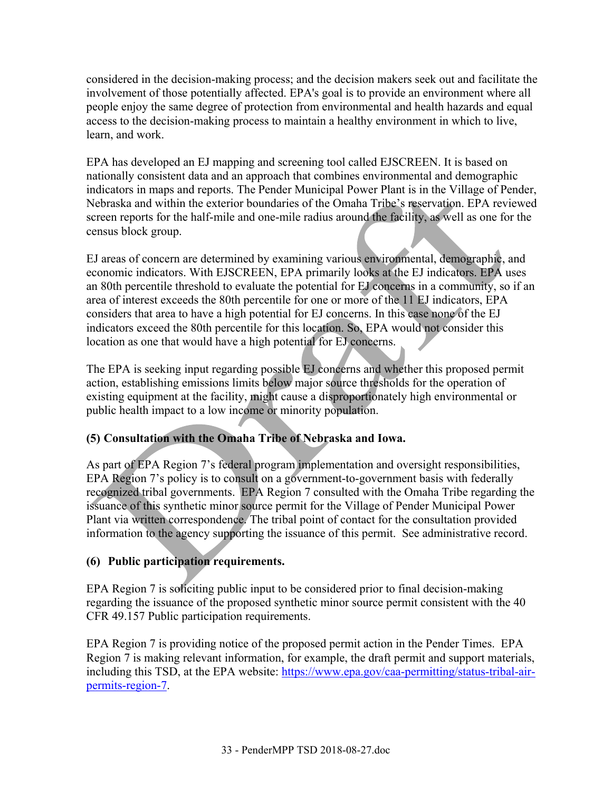considered in the decision-making process; and the decision makers seek out and facilitate the involvement of those potentially affected. EPA's goal is to provide an environment where all people enjoy the same degree of protection from environmental and health hazards and equal access to the decision-making process to maintain a healthy environment in which to live, learn, and work.

EPA has developed an EJ mapping and screening tool called EJSCREEN. It is based on nationally consistent data and an approach that combines environmental and demographic indicators in maps and reports. The Pender Municipal Power Plant is in the Village of Pender, Nebraska and within the exterior boundaries of the Omaha Tribe's reservation. EPA reviewed screen reports for the half-mile and one-mile radius around the facility, as well as one for the census block group.

EJ areas of concern are determined by examining various environmental, demographic, and economic indicators. With EJSCREEN, EPA primarily looks at the EJ indicators. EPA uses an 80th percentile threshold to evaluate the potential for EJ concerns in a community, so if an area of interest exceeds the 80th percentile for one or more of the 11 EJ indicators, EPA considers that area to have a high potential for EJ concerns. In this case none of the EJ indicators exceed the 80th percentile for this location. So, EPA would not consider this location as one that would have a high potential for EJ concerns.

The EPA is seeking input regarding possible EJ concerns and whether this proposed permit action, establishing emissions limits below major source thresholds for the operation of existing equipment at the facility, might cause a disproportionately high environmental or public health impact to a low income or minority population.

## **(5) Consultation with the Omaha Tribe of Nebraska and Iowa.**

As part of EPA Region 7's federal program implementation and oversight responsibilities, EPA Region 7's policy is to consult on a government-to-government basis with federally recognized tribal governments. EPA Region 7 consulted with the Omaha Tribe regarding the issuance of this synthetic minor source permit for the Village of Pender Municipal Power Plant via written correspondence. The tribal point of contact for the consultation provided information to the agency supporting the issuance of this permit. See administrative record.

## **(6) Public participation requirements.**

EPA Region 7 is soliciting public input to be considered prior to final decision-making regarding the issuance of the proposed synthetic minor source permit consistent with the 40 CFR 49.157 Public participation requirements.

EPA Region 7 is providing notice of the proposed permit action in the Pender Times. EPA Region 7 is making relevant information, for example, the draft permit and support materials, including this TSD, at the EPA website: https://www.epa.gov/caa-permitting/status-tribal-airpermits-region-7.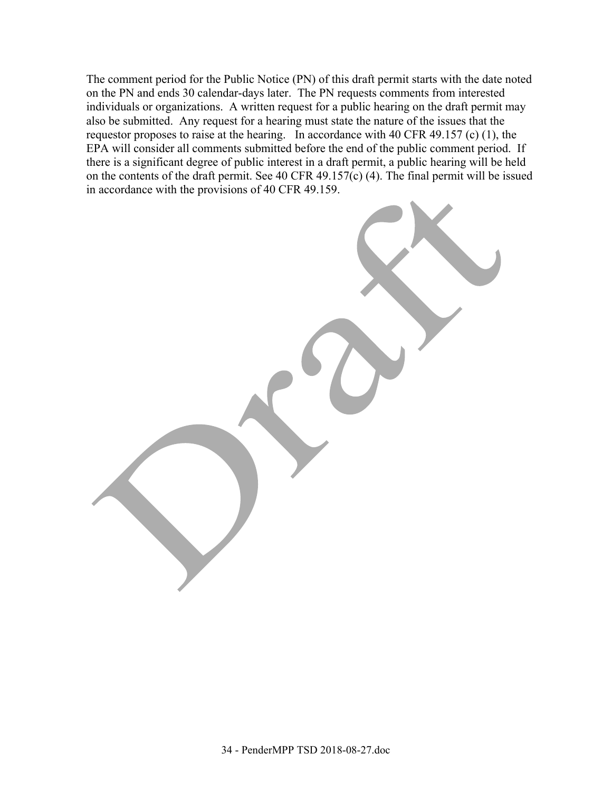The comment period for the Public Notice (PN) of this draft permit starts with the date noted on the PN and ends 30 calendar-days later. The PN requests comments from interested individuals or organizations. A written request for a public hearing on the draft permit may also be submitted. Any request for a hearing must state the nature of the issues that the requestor proposes to raise at the hearing. In accordance with 40 CFR 49.157 (c) (1), the EPA will consider all comments submitted before the end of the public comment period. If there is a significant degree of public interest in a draft permit, a public hearing will be held on the contents of the draft permit. See 40 CFR 49.157(c) (4). The final permit will be issued in accordance with the provisions of 40 CFR 49.159.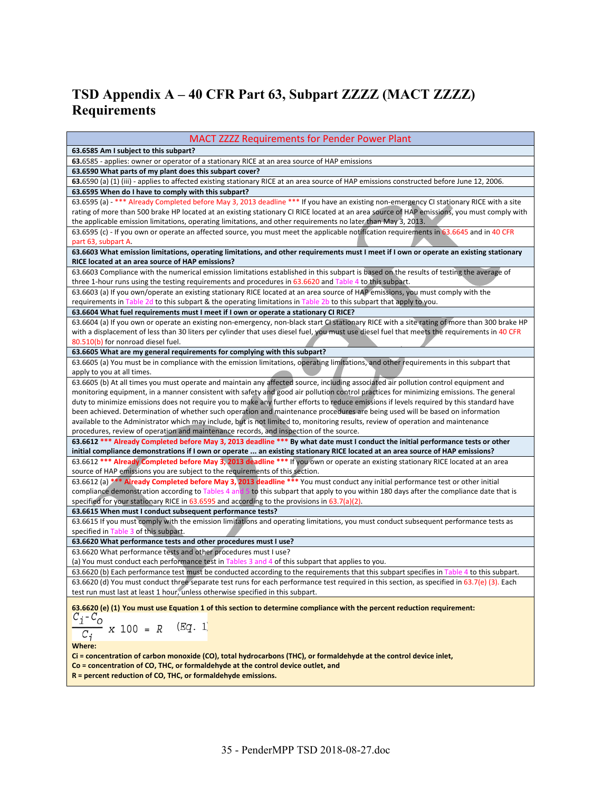# **TSD Appendix A – 40 CFR Part 63, Subpart ZZZZ (MACT ZZZZ) Requirements**

| <b>MACT ZZZZ Requirements for Pender Power Plant</b>                                                                                                                                                                           |
|--------------------------------------------------------------------------------------------------------------------------------------------------------------------------------------------------------------------------------|
| 63.6585 Am I subject to this subpart?                                                                                                                                                                                          |
| 63.6585 - applies: owner or operator of a stationary RICE at an area source of HAP emissions                                                                                                                                   |
| 63.6590 What parts of my plant does this subpart cover?                                                                                                                                                                        |
| 63.6590 (a) (1) (iii) - applies to affected existing stationary RICE at an area source of HAP emissions constructed before June 12, 2006.                                                                                      |
| 63.6595 When do I have to comply with this subpart?                                                                                                                                                                            |
| 63.6595 (a) - *** Already Completed before May 3, 2013 deadline *** If you have an existing non-emergency CI stationary RICE with a site                                                                                       |
| rating of more than 500 brake HP located at an existing stationary CI RICE located at an area source of HAP emissions, you must comply with                                                                                    |
| the applicable emission limitations, operating limitations, and other requirements no later than May 3, 2013.                                                                                                                  |
| 63.6595 (c) - If you own or operate an affected source, you must meet the applicable notification requirements in 63.6645 and in 40 CFR                                                                                        |
| part 63, subpart A.                                                                                                                                                                                                            |
| 63.6603 What emission limitations, operating limitations, and other requirements must I meet if I own or operate an existing stationary                                                                                        |
| RICE located at an area source of HAP emissions?                                                                                                                                                                               |
| 63.6603 Compliance with the numerical emission limitations established in this subpart is based on the results of testing the average of                                                                                       |
| three 1-hour runs using the testing requirements and procedures in 63.6620 and Table 4 to this subpart.                                                                                                                        |
| 63.6603 (a) If you own/operate an existing stationary RICE located at an area source of HAP emissions, you must comply with the                                                                                                |
| requirements in Table 2d to this subpart & the operating limitations in Table 2b to this subpart that apply to you.                                                                                                            |
| 63.6604 What fuel requirements must I meet if I own or operate a stationary CI RICE?                                                                                                                                           |
| 63.6604 (a) If you own or operate an existing non-emergency, non-black start Cl stationary RICE with a site rating of more than 300 brake HP                                                                                   |
| with a displacement of less than 30 liters per cylinder that uses diesel fuel, you must use diesel fuel that meets the requirements in 40 CFR                                                                                  |
| 80.510(b) for nonroad diesel fuel.                                                                                                                                                                                             |
| 63.6605 What are my general requirements for complying with this subpart?                                                                                                                                                      |
| 63.6605 (a) You must be in compliance with the emission limitations, operating limitations, and other requirements in this subpart that                                                                                        |
| apply to you at all times.                                                                                                                                                                                                     |
| 63.6605 (b) At all times you must operate and maintain any affected source, including associated air pollution control equipment and                                                                                           |
| monitoring equipment, in a manner consistent with safety and good air pollution control practices for minimizing emissions. The general                                                                                        |
| duty to minimize emissions does not require you to make any further efforts to reduce emissions if levels required by this standard have                                                                                       |
| been achieved. Determination of whether such operation and maintenance procedures are being used will be based on information                                                                                                  |
| available to the Administrator which may include, but is not limited to, monitoring results, review of operation and maintenance                                                                                               |
| procedures, review of operation and maintenance records, and inspection of the source.                                                                                                                                         |
| 63.6612 *** Already Completed before May 3, 2013 deadline *** By what date must I conduct the initial performance tests or other                                                                                               |
| initial compliance demonstrations if I own or operate  an existing stationary RICE located at an area source of HAP emissions?                                                                                                 |
| 63.6612 *** Already Completed before May 3, 2013 deadline *** If you own or operate an existing stationary RICE located at an area                                                                                             |
| source of HAP emissions you are subject to the requirements of this section.                                                                                                                                                   |
| 63.6612 (a) *** Already Completed before May 3, 2013 deadline *** You must conduct any initial performance test or other initial                                                                                               |
| compliance demonstration according to Tables 4 and 5 to this subpart that apply to you within 180 days after the compliance date that is                                                                                       |
| specified for your stationary RICE in 63.6595 and according to the provisions in 63.7(a)(2).                                                                                                                                   |
| 63.6615 When must I conduct subsequent performance tests?                                                                                                                                                                      |
| 63.6615 If you must comply with the emission limitations and operating limitations, you must conduct subsequent performance tests as                                                                                           |
| specified in Table 3 of this subpart.                                                                                                                                                                                          |
| 63.6620 What performance tests and other procedures must I use?                                                                                                                                                                |
| 63.6620 What performance tests and other procedures must I use?                                                                                                                                                                |
| (a) You must conduct each performance test in Tables 3 and 4 of this subpart that applies to you.                                                                                                                              |
| 63.6620 (b) Each performance test must be conducted according to the requirements that this subpart specifies in Table 4 to this subpart.                                                                                      |
|                                                                                                                                                                                                                                |
| 63.6620 (d) You must conduct three separate test runs for each performance test required in this section, as specified in 63.7(e) (3). Each<br>test run must last at least 1 hour, unless otherwise specified in this subpart. |
|                                                                                                                                                                                                                                |
| 63.6620 (e) (1) You must use Equation 1 of this section to determine compliance with the percent reduction requirement:                                                                                                        |
| $c_i$ - $c_o$                                                                                                                                                                                                                  |
| (Eq. 1)<br>$x 100 = R$                                                                                                                                                                                                         |
| $C_i$                                                                                                                                                                                                                          |
| Where:                                                                                                                                                                                                                         |
| Ci = concentration of carbon monoxide (CO), total hydrocarbons (THC), or formaldehyde at the control device inlet,                                                                                                             |
| Co = concentration of CO, THC, or formaldehyde at the control device outlet, and                                                                                                                                               |
| $R$ = percent reduction of CO, THC, or formaldehyde emissions.                                                                                                                                                                 |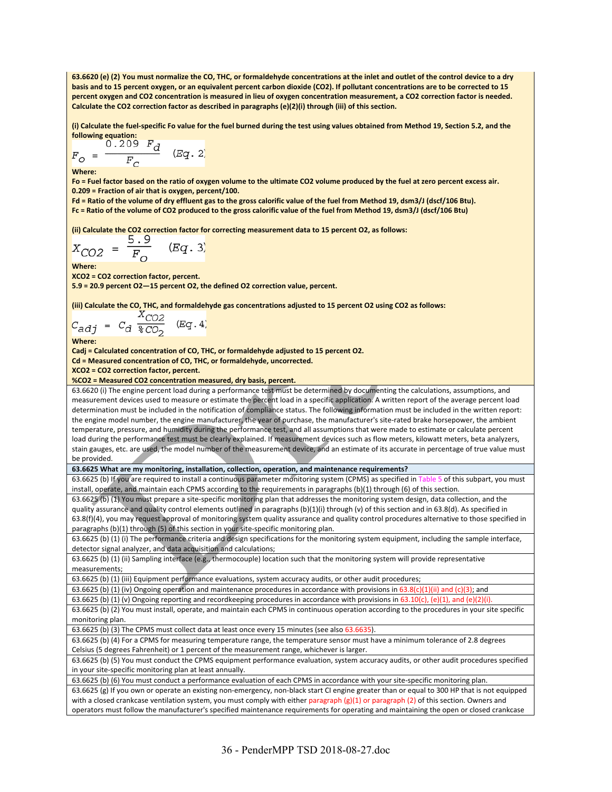**63.6620 (e) (2) You must normalize the CO, THC, or formaldehyde concentrations at the inlet and outlet of the control device to a dry basis and to 15 percent oxygen, or an equivalent percent carbon dioxide (CO2). If pollutant concentrations are to be corrected to 15 percent oxygen and CO2 concentration is measured in lieu of oxygen concentration measurement, a CO2 correction factor is needed. Calculate the CO2 correction factor as described in paragraphs (e)(2)(i) through (iii) of this section.** 

**(i) Calculate the fuel‐specific Fo value for the fuel burned during the test using values obtained from Method 19, Section 5.2, and the following equation:** 

$$
F_O = \frac{0.209 \ F_d}{F_C} \quad (Eq. 2)
$$

**Where:** 

**Fo = Fuel factor based on the ratio of oxygen volume to the ultimate CO2 volume produced by the fuel at zero percent excess air. 0.209 = Fraction of air that is oxygen, percent/100.** 

**Fd = Ratio of the volume of dry effluent gas to the gross calorific value of the fuel from Method 19, dsm3/J (dscf/106 Btu). Fc = Ratio of the volume of CO2 produced to the gross calorific value of the fuel from Method 19, dsm3/J (dscf/106 Btu)** 

**(ii) Calculate the CO2 correction factor for correcting measurement data to 15 percent O2, as follows:** 

$$
X_{CO2} = \frac{5.9}{F_O} \quad (Eq. 3)
$$

**Where:** 

**XCO2 = CO2 correction factor, percent.** 

**5.9 = 20.9 percent O2—15 percent O2, the defined O2 correction value, percent.** 

**(iii) Calculate the CO, THC, and formaldehyde gas concentrations adjusted to 15 percent O2 using CO2 as follows:** 

$$
C_{adj} = C_d \frac{X_{CO2}}{\sqrt[8]{CO_2}} \quad (Eq. 4)
$$

**Where:** 

**Cadj = Calculated concentration of CO, THC, or formaldehyde adjusted to 15 percent O2.** 

**Cd = Measured concentration of CO, THC, or formaldehyde, uncorrected.** 

**XCO2 = CO2 correction factor, percent.** 

**%CO2 = Measured CO2 concentration measured, dry basis, percent.**

63.6620 (i) The engine percent load during a performance test must be determined by documenting the calculations, assumptions, and measurement devices used to measure or estimate the percent load in a specific application. A written report of the average percent load determination must be included in the notification of compliance status. The following information must be included in the written report: the engine model number, the engine manufacturer, the year of purchase, the manufacturer's site-rated brake horsepower, the ambient temperature, pressure, and humidity during the performance test, and all assumptions that were made to estimate or calculate percent load during the performance test must be clearly explained. If measurement devices such as flow meters, kilowatt meters, beta analyzers, stain gauges, etc. are used, the model number of the measurement device, and an estimate of its accurate in percentage of true value must be provided.

**63.6625 What are my monitoring, installation, collection, operation, and maintenance requirements?** 

63.6625 (b) If you are required to install a continuous parameter monitoring system (CPMS) as specified in Table 5 of this subpart, you must install, operate, and maintain each CPMS according to the requirements in paragraphs (b)(1) through (6) of this section.

63.6625 (b) (1) You must prepare a site‐specific monitoring plan that addresses the monitoring system design, data collection, and the quality assurance and quality control elements outlined in paragraphs (b)(1)(i) through (v) of this section and in 63.8(d). As specified in 63.8(f)(4), you may request approval of monitoring system quality assurance and quality control procedures alternative to those specified in paragraphs (b)(1) through (5) of this section in your site-specific monitoring plan.

63.6625 (b) (1) (i) The performance criteria and design specifications for the monitoring system equipment, including the sample interface, detector signal analyzer, and data acquisition and calculations;

63.6625 (b) (1) (ii) Sampling interface (e.g., thermocouple) location such that the monitoring system will provide representative measurements;

63.6625 (b) (1) (iii) Equipment performance evaluations, system accuracy audits, or other audit procedures;

63.6625 (b) (1) (iv) Ongoing operation and maintenance procedures in accordance with provisions in 63.8(c)(1)(ii) and (c)(3); and

63.6625 (b) (1) (v) Ongoing reporting and recordkeeping procedures in accordance with provisions in 63.10(c), (e)(1), and (e)(2)(i).

63.6625 (b) (2) You must install, operate, and maintain each CPMS in continuous operation according to the procedures in your site specific monitoring plan.

63.6625 (b) (3) The CPMS must collect data at least once every 15 minutes (see also 63.6635).

63.6625 (b) (4) For a CPMS for measuring temperature range, the temperature sensor must have a minimum tolerance of 2.8 degrees Celsius (5 degrees Fahrenheit) or 1 percent of the measurement range, whichever is larger.

63.6625 (b) (5) You must conduct the CPMS equipment performance evaluation, system accuracy audits, or other audit procedures specified in your site‐specific monitoring plan at least annually.

63.6625 (b) (6) You must conduct a performance evaluation of each CPMS in accordance with your site‐specific monitoring plan.

63.6625 (g) If you own or operate an existing non‐emergency, non‐black start CI engine greater than or equal to 300 HP that is not equipped with a closed crankcase ventilation system, you must comply with either paragraph (g)(1) or paragraph (2) of this section. Owners and operators must follow the manufacturer's specified maintenance requirements for operating and maintaining the open or closed crankcase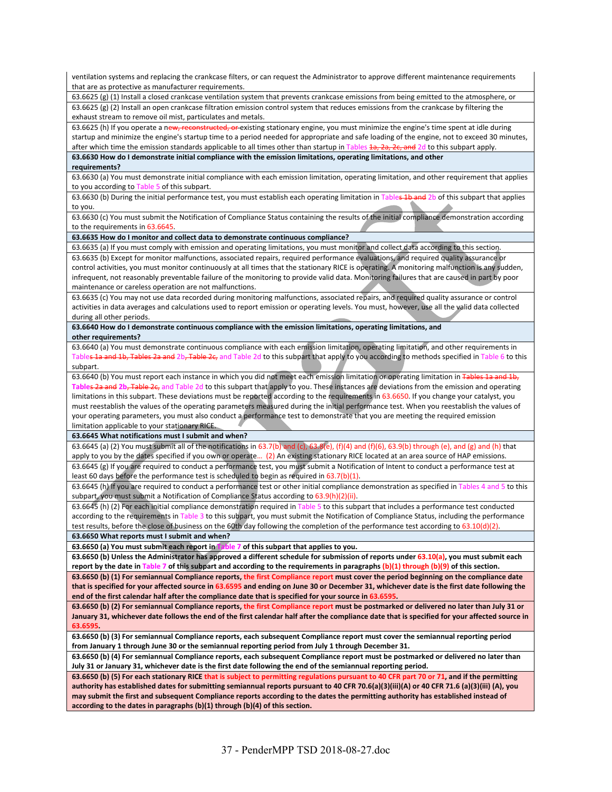ventilation systems and replacing the crankcase filters, or can request the Administrator to approve different maintenance requirements that are as protective as manufacturer requirements. 63.6625 (g) (1) Install a closed crankcase ventilation system that prevents crankcase emissions from being emitted to the atmosphere, or 63.6625 (g) (2) Install an open crankcase filtration emission control system that reduces emissions from the crankcase by filtering the exhaust stream to remove oil mist, particulates and metals. 63.6625 (h) If you operate a new, reconstructed, or existing stationary engine, you must minimize the engine's time spent at idle during startup and minimize the engine's startup time to a period needed for appropriate and safe loading of the engine, not to exceed 30 minutes, after which time the emission standards applicable to all times other than startup in Tables 1a, 2a, 2c, and 2d to this subpart apply. **63.6630 How do I demonstrate initial compliance with the emission limitations, operating limitations, and other requirements?**  63.6630 (a) You must demonstrate initial compliance with each emission limitation, operating limitation, and other requirement that applies to you according to Table 5 of this subpart. 63.6630 (b) During the initial performance test, you must establish each operating limitation in Tables 1b and 2b of this subpart that applies to you. 63.6630 (c) You must submit the Notification of Compliance Status containing the results of the initial compliance demonstration according to the requirements in 63.6645 **63.6635 How do I monitor and collect data to demonstrate continuous compliance?**  63.6635 (a) If you must comply with emission and operating limitations, you must monitor and collect data according to this section. 63.6635 (b) Except for monitor malfunctions, associated repairs, required performance evaluations, and required quality assurance or control activities, you must monitor continuously at all times that the stationary RICE is operating. A monitoring malfunction is any sudden, infrequent, not reasonably preventable failure of the monitoring to provide valid data. Monitoring failures that are caused in part by poor maintenance or careless operation are not malfunctions. 63.6635 (c) You may not use data recorded during monitoring malfunctions, associated repairs, and required quality assurance or control activities in data averages and calculations used to report emission or operating levels. You must, however, use all the valid data collected during all other periods. **63.6640 How do I demonstrate continuous compliance with the emission limitations, operating limitations, and other requirements?**  63.6640 (a) You must demonstrate continuous compliance with each emission limitation, operating limitation, and other requirements in Table<del>s 1a and 1b, Tables 2a and</del> 2b<del>, Table 2c,</del> and Table 2d to this subpart that apply to you according to methods specified in Table 6 to this subpart. 63.6640 (b) You must report each instance in which you did not meet each emission limitation or operating limitation in Table Tables 2a and 2b, Table 2c, and Table 2d to this subpart that apply to you. These instances are deviations from the emission and operating limitations in this subpart. These deviations must be reported according to the requirements in 63.6650. If you change your catalyst, you must reestablish the values of the operating parameters measured during the initial performance test. When you reestablish the values of your operating parameters, you must also conduct a performance test to demonstrate that you are meeting the required emission limitation applicable to your stationary RICE. **63.6645 What notifications must I submit and when?**  63.6645 (a) (2) You must submit all of the notifications in 63.7(b) and (c), 63.8(e), (f)(4) and (f)(6), 63.9(b) through (e), and (g) and (h) that apply to you by the dates specified if you own or operate... (2) An existing stationary RICE located at an area source of HAP emissions. 63.6645 (g) If you are required to conduct a performance test, you must submit a Notification of Intent to conduct a performance test at least 60 days before the performance test is scheduled to begin as required in 63.7(b)(1). 63.6645 (h) If you are required to conduct a performance test or other initial compliance demonstration as specified in Tables 4 and 5 to this subpart, you must submit a Notification of Compliance Status according to 63.9(h)(2)(ii). 63.6645 (h) (2) For each initial compliance demonstration required in Table 5 to this subpart that includes a performance test conducted according to the requirements in Table 3 to this subpart, you must submit the Notification of Compliance Status, including the performance test results, before the close of business on the 60th day following the completion of the performance test according to 63.10(d)(2). **63.6650 What reports must I submit and when? 63.6650 (a) You must submit each report in Table 7 of this subpart that applies to you. 63.6650 (b) Unless the Administrator has approved a different schedule for submission of reports under 63.10(a), you must submit each**  report by the date in Table 7 of this subpart and according to the requirements in paragraphs (b)(1) through (b)(9) of this section. **63.6650 (b) (1) For semiannual Compliance reports, the first Compliance report must cover the period beginning on the compliance date that is specified for your affected source in 63.6595 and ending on June 30 or December 31, whichever date is the first date following the end of the first calendar half after the compliance date that is specified for your source in 63.6595. 63.6650 (b) (2) For semiannual Compliance reports, the first Compliance report must be postmarked or delivered no later than July 31 or January 31, whichever date follows the end of the first calendar half after the compliance date that is specified for your affected source in 63.6595. 63.6650 (b) (3) For semiannual Compliance reports, each subsequent Compliance report must cover the semiannual reporting period from January 1 through June 30 or the semiannual reporting period from July 1 through December 31. 63.6650 (b) (4) For semiannual Compliance reports, each subsequent Compliance report must be postmarked or delivered no later than July 31 or January 31, whichever date is the first date following the end of the semiannual reporting period. 63.6650 (b) (5) For each stationary RICE that is subject to permitting regulations pursuant to 40 CFR part 70 or 71, and if the permitting authority has established dates for submitting semiannual reports pursuant to 40 CFR 70.6(a)(3)(iii)(A) or 40 CFR 71.6 (a)(3)(iii) (A), you may submit the first and subsequent Compliance reports according to the dates the permitting authority has established instead of according to the dates in paragraphs (b)(1) through (b)(4) of this section.**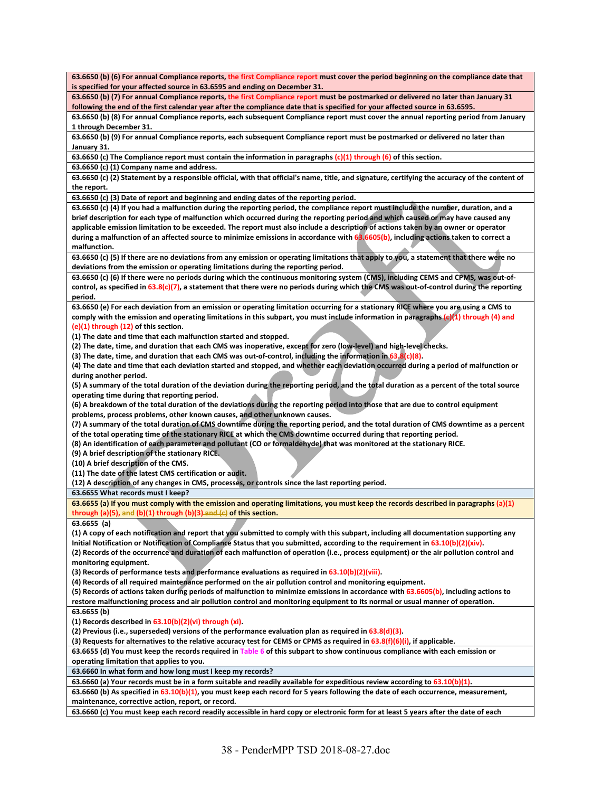**63.6650 (b) (6) For annual Compliance reports, the first Compliance report must cover the period beginning on the compliance date that is specified for your affected source in 63.6595 and ending on December 31.** 

**63.6650 (b) (7) For annual Compliance reports, the first Compliance report must be postmarked or delivered no later than January 31 following the end of the first calendar year after the compliance date that is specified for your affected source in 63.6595.** 

**63.6650 (b) (8) For annual Compliance reports, each subsequent Compliance report must cover the annual reporting period from January 1 through December 31.** 

**63.6650 (b) (9) For annual Compliance reports, each subsequent Compliance report must be postmarked or delivered no later than January 31.** 

**63.6650 (c) The Compliance report must contain the information in paragraphs (c)(1) through (6) of this section.** 

**63.6650 (c) (1) Company name and address.** 

**63.6650 (c) (2) Statement by a responsible official, with that official's name, title, and signature, certifying the accuracy of the content of the report.** 

**63.6650 (c) (3) Date of report and beginning and ending dates of the reporting period.** 

**63.6650 (c) (4) If you had a malfunction during the reporting period, the compliance report must include the number, duration, and a brief description for each type of malfunction which occurred during the reporting period and which caused or may have caused any applicable emission limitation to be exceeded. The report must also include a description of actions taken by an owner or operator during a malfunction of an affected source to minimize emissions in accordance with 63.6605(b), including actions taken to correct a malfunction.** 

**63.6650 (c) (5) If there are no deviations from any emission or operating limitations that apply to you, a statement that there were no deviations from the emission or operating limitations during the reporting period.** 

**63.6650 (c) (6) If there were no periods during which the continuous monitoring system (CMS), including CEMS and CPMS, was out‐of‐**  control, as specified in 63.8(c)(7), a statement that there were no periods during which the CMS was out-of-control during the reporting **period.** 

**63.6650 (e) For each deviation from an emission or operating limitation occurring for a stationary RICE where you are using a CMS to comply with the emission and operating limitations in this subpart, you must include information in paragraphs (c)(1) through (4) and (e)(1) through (12) of this section.** 

**(1) The date and time that each malfunction started and stopped.** 

**(2) The date, time, and duration that each CMS was inoperative, except for zero (low‐level) and high‐level checks.** 

**(3) The date, time, and duration that each CMS was out‐of‐control, including the information in 63.8(c)(8).** 

**(4) The date and time that each deviation started and stopped, and whether each deviation occurred during a period of malfunction or during another period.** 

**(5) A summary of the total duration of the deviation during the reporting period, and the total duration as a percent of the total source operating time during that reporting period.** 

**(6) A breakdown of the total duration of the deviations during the reporting period into those that are due to control equipment problems, process problems, other known causes, and other unknown causes.** 

**(7) A summary of the total duration of CMS downtime during the reporting period, and the total duration of CMS downtime as a percent of the total operating time of the stationary RICE at which the CMS downtime occurred during that reporting period.** 

**(8) An identification of each parameter and pollutant (CO or formaldehyde) that was monitored at the stationary RICE.** 

**(9) A brief description of the stationary RICE.** 

**(10) A brief description of the CMS.** 

**(11) The date of the latest CMS certification or audit.** 

**(12) A description of any changes in CMS, processes, or controls since the last reporting period.** 

**63.6655 What records must I keep?** 

**63.6655 (a) If you must comply with the emission and operating limitations, you must keep the records described in paragraphs (a)(1) through (a)(5), and (b)(1) through (b)(3) and (c) of this section.** 

**63.6655 (a)** 

**(1) A copy of each notification and report that you submitted to comply with this subpart, including all documentation supporting any Initial Notification or Notification of Compliance Status that you submitted, according to the requirement in 63.10(b)(2)(xiv).** 

**(2) Records of the occurrence and duration of each malfunction of operation (i.e., process equipment) or the air pollution control and monitoring equipment.** 

**(3) Records of performance tests and performance evaluations as required in 63.10(b)(2)(viii).** 

**(4) Records of all required maintenance performed on the air pollution control and monitoring equipment.** 

**(5) Records of actions taken during periods of malfunction to minimize emissions in accordance with 63.6605(b), including actions to** 

**restore malfunctioning process and air pollution control and monitoring equipment to its normal or usual manner of operation. 63.6655 (b)** 

**(1) Records described in 63.10(b)(2)(vi) through (xi).** 

**(2) Previous (i.e., superseded) versions of the performance evaluation plan as required in 63.8(d)(3).** 

**(3) Requests for alternatives to the relative accuracy test for CEMS or CPMS as required in 63.8(f)(6)(i), if applicable.** 

**63.6655 (d) You must keep the records required in Table 6 of this subpart to show continuous compliance with each emission or** 

**operating limitation that applies to you.** 

**63.6660 In what form and how long must I keep my records?** 

**63.6660 (a) Your records must be in a form suitable and readily available for expeditious review according to 63.10(b)(1).** 

**63.6660 (b) As specified in 63.10(b)(1), you must keep each record for 5 years following the date of each occurrence, measurement, maintenance, corrective action, report, or record.** 

**63.6660 (c) You must keep each record readily accessible in hard copy or electronic form for at least 5 years after the date of each**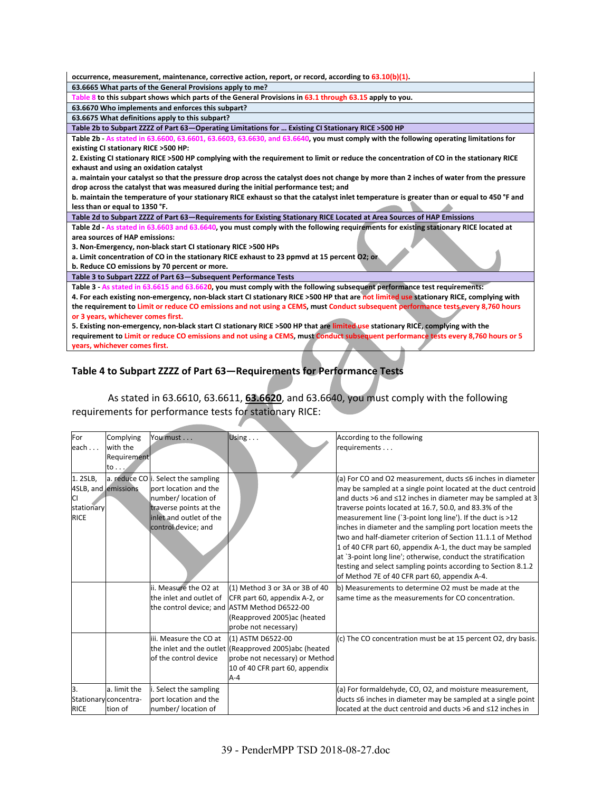| occurrence, measurement, maintenance, corrective action, report, or record, according to 63.10(b)(1).                                                               |
|---------------------------------------------------------------------------------------------------------------------------------------------------------------------|
| 63.6665 What parts of the General Provisions apply to me?                                                                                                           |
| Table 8 to this subpart shows which parts of the General Provisions in 63.1 through 63.15 apply to you.                                                             |
| 63.6670 Who implements and enforces this subpart?                                                                                                                   |
| 63.6675 What definitions apply to this subpart?                                                                                                                     |
| Table 2b to Subpart ZZZZ of Part 63-Operating Limitations for  Existing CI Stationary RICE >500 HP                                                                  |
| Table 2b - As stated in 63.6600, 63.6601, 63.6603, 63.6630, and 63.6640, you must comply with the following operating limitations for                               |
| existing CI stationary RICE >500 HP:                                                                                                                                |
| 2. Existing CI stationary RICE >500 HP complying with the requirement to limit or reduce the concentration of CO in the stationary RICE                             |
| exhaust and using an oxidation catalyst                                                                                                                             |
| a. maintain your catalyst so that the pressure drop across the catalyst does not change by more than 2 inches of water from the pressure                            |
| drop across the catalyst that was measured during the initial performance test; and                                                                                 |
| b. maintain the temperature of your stationary RICE exhaust so that the catalyst inlet temperature is greater than or equal to 450 °F and                           |
| less than or equal to 1350 °F.                                                                                                                                      |
| Table 2d to Subpart ZZZZ of Part 63-Requirements for Existing Stationary RICE Located at Area Sources of HAP Emissions                                              |
| Table 2d - As stated in 63.6603 and 63.6640, you must comply with the following requirements for existing stationary RICE located at                                |
|                                                                                                                                                                     |
| area sources of HAP emissions:                                                                                                                                      |
| 3. Non-Emergency, non-black start CI stationary RICE >500 HPs                                                                                                       |
| a. Limit concentration of CO in the stationary RICE exhaust to 23 ppmyd at 15 percent O2; or                                                                        |
| b. Reduce CO emissions by 70 percent or more.                                                                                                                       |
| Table 3 to Subpart ZZZZ of Part 63-Subsequent Performance Tests                                                                                                     |
| Table 3 - As stated in 63.6615 and 63.6620, you must comply with the following subsequent performance test requirements:                                            |
| 4. For each existing non-emergency, non-black start CI stationary RICE >500 HP that are not limited use stationary RICE, complying with                             |
| the requirement to Limit or reduce CO emissions and not using a CEMS, must Conduct subsequent performance tests every 8,760 hours                                   |
| or 3 years, whichever comes first.                                                                                                                                  |
| 5. Existing non-emergency, non-black start CI stationary RICE >500 HP that are limited use stationary RICE, complying with the                                      |
| requirement to Limit or reduce CO emissions and not using a CEMS, must Conduct subsequent performance tests every 8,760 hours or 5<br>years, whichever comes first. |

## **Table 4 to Subpart ZZZZ of Part 63—Requirements for Performance Tests**

As stated in 63.6610, 63.6611, **63.6620**, and 63.6640, you must comply with the following requirements for performance tests for stationary RICE:

| For<br>each $\dots$                                               | Complying<br>with the<br>Requirement<br>to | You must                                                                                                                                                        | Using                                                                                                                                                                   | According to the following<br>requirements                                                                                                                                                                                                                                                                                                                                                                                                                                                                                                                                                                                                                                                         |
|-------------------------------------------------------------------|--------------------------------------------|-----------------------------------------------------------------------------------------------------------------------------------------------------------------|-------------------------------------------------------------------------------------------------------------------------------------------------------------------------|----------------------------------------------------------------------------------------------------------------------------------------------------------------------------------------------------------------------------------------------------------------------------------------------------------------------------------------------------------------------------------------------------------------------------------------------------------------------------------------------------------------------------------------------------------------------------------------------------------------------------------------------------------------------------------------------------|
| 1.2SLB,<br>4SLB, and emissions<br>СI<br>stationary<br><b>RICE</b> |                                            | a. reduce CO i. Select the sampling<br>port location and the<br>number/ location of<br>traverse points at the<br>inlet and outlet of the<br>control device; and |                                                                                                                                                                         | (a) For CO and O2 measurement, ducts ≤6 inches in diameter<br>may be sampled at a single point located at the duct centroid<br>and ducts >6 and ≤12 inches in diameter may be sampled at 3<br>traverse points located at 16.7, 50.0, and 83.3% of the<br>measurement line ('3-point long line'). If the duct is >12<br>inches in diameter and the sampling port location meets the<br>two and half-diameter criterion of Section 11.1.1 of Method<br>1 of 40 CFR part 60, appendix A-1, the duct may be sampled<br>at '3-point long line'; otherwise, conduct the stratification<br>testing and select sampling points according to Section 8.1.2<br>of Method 7E of 40 CFR part 60, appendix A-4. |
|                                                                   |                                            | ii. Measure the O2 at<br>the inlet and outlet of                                                                                                                | (1) Method 3 or 3A or 3B of 40<br>CFR part 60, appendix A-2, or<br>the control device; and ASTM Method D6522-00<br>(Reapproved 2005) ac (heated<br>probe not necessary) | b) Measurements to determine O2 must be made at the<br>same time as the measurements for CO concentration.                                                                                                                                                                                                                                                                                                                                                                                                                                                                                                                                                                                         |
|                                                                   |                                            | iii. Measure the CO at<br>of the control device                                                                                                                 | (1) ASTM D6522-00<br>the inlet and the outlet (Reapproved 2005)abc (heated<br>probe not necessary) or Method<br>10 of 40 CFR part 60, appendix<br>$A - 4$               | (c) The CO concentration must be at 15 percent O2, dry basis.                                                                                                                                                                                                                                                                                                                                                                                                                                                                                                                                                                                                                                      |
| 3.                                                                | a. limit the<br>Stationary concentra-      | i. Select the sampling<br>port location and the                                                                                                                 |                                                                                                                                                                         | (a) For formaldehyde, CO, O2, and moisture measurement,<br>ducts ≤6 inches in diameter may be sampled at a single point                                                                                                                                                                                                                                                                                                                                                                                                                                                                                                                                                                            |
| <b>RICE</b>                                                       | tion of                                    | number/ location of                                                                                                                                             |                                                                                                                                                                         | located at the duct centroid and ducts >6 and ≤12 inches in                                                                                                                                                                                                                                                                                                                                                                                                                                                                                                                                                                                                                                        |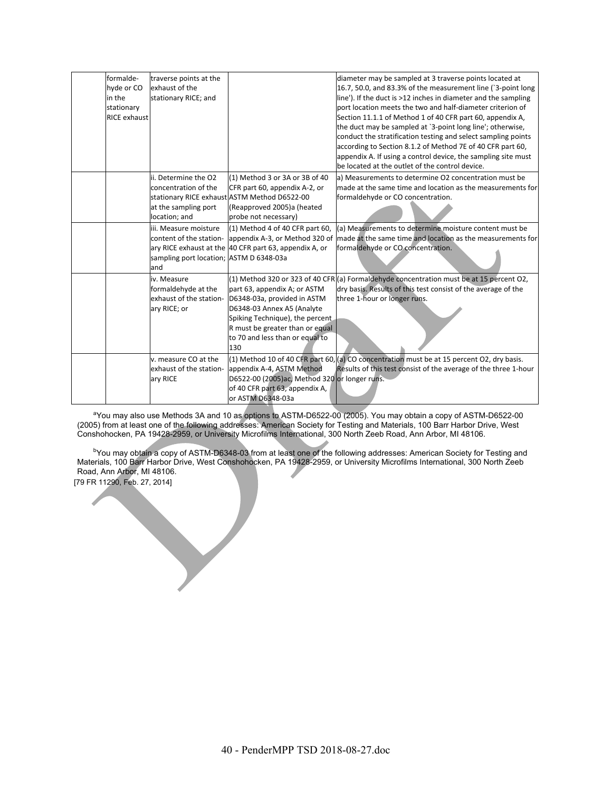| formalde-           | traverse points at the                  |                                                        | diameter may be sampled at 3 traverse points located at                                      |
|---------------------|-----------------------------------------|--------------------------------------------------------|----------------------------------------------------------------------------------------------|
| hyde or CO          | exhaust of the                          |                                                        | 16.7, 50.0, and 83.3% of the measurement line (`3-point long                                 |
| in the              | stationary RICE; and                    |                                                        | line'). If the duct is >12 inches in diameter and the sampling                               |
| stationary          |                                         |                                                        | port location meets the two and half-diameter criterion of                                   |
| <b>RICE exhaust</b> |                                         |                                                        | Section 11.1.1 of Method 1 of 40 CFR part 60, appendix A,                                    |
|                     |                                         |                                                        | the duct may be sampled at '3-point long line'; otherwise,                                   |
|                     |                                         |                                                        | conduct the stratification testing and select sampling points                                |
|                     |                                         |                                                        | according to Section 8.1.2 of Method 7E of 40 CFR part 60,                                   |
|                     |                                         |                                                        | appendix A. If using a control device, the sampling site must                                |
|                     |                                         |                                                        | be located at the outlet of the control device.                                              |
|                     | ii. Determine the O2                    | (1) Method 3 or 3A or 3B of 40                         | a) Measurements to determine O2 concentration must be                                        |
|                     | concentration of the                    | CFR part 60, appendix A-2, or                          | made at the same time and location as the measurements for                                   |
|                     |                                         | stationary RICE exhaust ASTM Method D6522-00           | formaldehyde or CO concentration.                                                            |
|                     | at the sampling port                    | (Reapproved 2005)a (heated                             |                                                                                              |
|                     | location; and                           | probe not necessary)                                   |                                                                                              |
|                     | iii. Measure moisture                   | $(1)$ Method 4 of 40 CFR part 60,                      | (a) Measurements to determine moisture content must be                                       |
|                     |                                         | content of the station- appendix A-3, or Method 320 of | made at the same time and location as the measurements for                                   |
|                     |                                         | ary RICE exhaust at the 40 CFR part 63, appendix A, or | formaldehyde or CO concentration.                                                            |
|                     | sampling port location; ASTM D 6348-03a |                                                        |                                                                                              |
|                     | and                                     |                                                        |                                                                                              |
|                     | iv. Measure                             |                                                        | $(1)$ Method 320 or 323 of 40 CFR $(a)$ Formaldehyde concentration must be at 15 percent O2, |
|                     | formaldehyde at the                     | part 63, appendix A; or ASTM                           | dry basis. Results of this test consist of the average of the                                |
|                     | exhaust of the station-                 | D6348-03a, provided in ASTM                            | three 1-hour or longer runs.                                                                 |
|                     | ary RICE; or                            | D6348-03 Annex A5 (Analyte                             |                                                                                              |
|                     |                                         | Spiking Technique), the percent.                       |                                                                                              |
|                     |                                         | R must be greater than or equal                        |                                                                                              |
|                     |                                         | to 70 and less than or equal to                        |                                                                                              |
|                     |                                         | 130                                                    |                                                                                              |
|                     | v. measure CO at the                    |                                                        | (1) Method 10 of 40 CFR part 60, (a) CO concentration must be at 15 percent O2, dry basis.   |
|                     | exhaust of the station-                 | appendix A-4, ASTM Method                              | Results of this test consist of the average of the three 1-hour                              |
|                     | ary RICE                                | D6522-00 (2005)ac, Method 320 or longer runs.          |                                                                                              |
|                     |                                         | of 40 CFR part 63, appendix A,                         |                                                                                              |
|                     |                                         | or ASTM D6348-03a                                      |                                                                                              |

<sup>a</sup>You may also use Methods 3A and 10 as options to ASTM-D6522-00 (2005). You may obtain a copy of ASTM-D6522-00 (2005) from at least one of the following addresses: American Society for Testing and Materials, 100 Barr Harbor Drive, West Conshohocken, PA 19428-2959, or University Microfilms International, 300 North Zeeb Road, Ann Arbor, MI 48106.

bYou may obtain a copy of ASTM-D6348-03 from at least one of the following addresses: American Society for Testing and Materials, 100 Barr Harbor Drive, West Conshohocken, PA 19428-2959, or University Microfilms International, 300 North Zeeb Road, Ann Arbor, MI 48106.

[79 FR 11290, Feb. 27, 2014]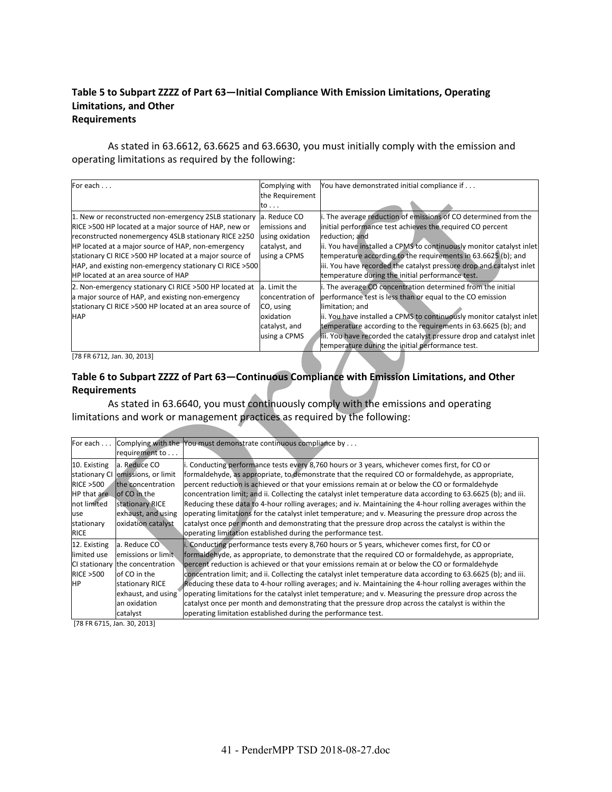#### **Table 5 to Subpart ZZZZ of Part 63—Initial Compliance With Emission Limitations, Operating Limitations, and Other Requirements**

As stated in 63.6612, 63.6625 and 63.6630, you must initially comply with the emission and operating limitations as required by the following:

| For each                                                | Complying with   | You have demonstrated initial compliance if                          |
|---------------------------------------------------------|------------------|----------------------------------------------------------------------|
|                                                         | the Requirement  |                                                                      |
|                                                         | to               |                                                                      |
| 1. New or reconstructed non-emergency 2SLB stationary   | a. Reduce CO     | i. The average reduction of emissions of CO determined from the      |
| RICE >500 HP located at a major source of HAP, new or   | emissions and    | initial performance test achieves the required CO percent            |
| reconstructed nonemergency 4SLB stationary RICE ≥250    | using oxidation  | reduction; and                                                       |
| HP located at a major source of HAP, non-emergency      | catalyst, and    | ii. You have installed a CPMS to continuously monitor catalyst inlet |
| stationary CI RICE >500 HP located at a major source of | using a CPMS     | temperature according to the requirements in 63.6625 (b); and        |
| HAP, and existing non-emergency stationary CI RICE >500 |                  | iii. You have recorded the catalyst pressure drop and catalyst inlet |
| HP located at an area source of HAP                     |                  | temperature during the initial performance test.                     |
| 2. Non-emergency stationary CI RICE > 500 HP located at | a. Limit the     | i. The average CO concentration determined from the initial          |
| a major source of HAP, and existing non-emergency       | concentration of | performance test is less than or equal to the CO emission            |
| stationary CI RICE >500 HP located at an area source of | CO, using        | limitation; and                                                      |
| <b>HAP</b>                                              | oxidation        | ii. You have installed a CPMS to continuously monitor catalyst inlet |
|                                                         | catalyst, and    | temperature according to the requirements in 63.6625 (b); and        |
|                                                         | using a CPMS     | iii. You have recorded the catalyst pressure drop and catalyst inlet |
|                                                         |                  | temperature during the initial performance test.                     |

[78 FR 6712, Jan. 30, 2013]

#### **Table 6 to Subpart ZZZZ of Part 63—Continuous Compliance with Emission Limitations, and Other Requirements**

As stated in 63.6640, you must continuously comply with the emissions and operating limitations and work or management practices as required by the following:

| For each            |                                 | Complying with the You must demonstrate continuous compliance by $\dots$                                       |  |  |
|---------------------|---------------------------------|----------------------------------------------------------------------------------------------------------------|--|--|
|                     | requirement to                  |                                                                                                                |  |  |
| 10. Existing        | a. Reduce CO                    | i. Conducting performance tests every 8,760 hours or 3 years, whichever comes first, for CO or                 |  |  |
| stationary CI       | emissions, or limit             | formaldehyde, as appropriate, to demonstrate that the required CO or formaldehyde, as appropriate,             |  |  |
| <b>RICE &gt;500</b> | the concentration               | percent reduction is achieved or that your emissions remain at or below the CO or formaldehyde                 |  |  |
| HP that are         | lof CO in the                   | concentration limit; and ii. Collecting the catalyst inlet temperature data according to 63.6625 (b); and iii. |  |  |
| not limited         | stationary RICE                 | Reducing these data to 4-hour rolling averages; and iv. Maintaining the 4-hour rolling averages within the     |  |  |
| use                 | exhaust, and using              | operating limitations for the catalyst inlet temperature; and v. Measuring the pressure drop across the        |  |  |
| stationary          | oxidation catalyst              | catalyst once per month and demonstrating that the pressure drop across the catalyst is within the             |  |  |
| <b>RICE</b>         |                                 | operating limitation established during the performance test.                                                  |  |  |
| 12. Existing        | a. Reduce CO                    | i. Conducting performance tests every 8,760 hours or 5 years, whichever comes first, for CO or                 |  |  |
| limited use         | emissions or limit              | formaldehyde, as appropriate, to demonstrate that the required CO or formaldehyde, as appropriate,             |  |  |
|                     | CI stationary the concentration | percent reduction is achieved or that your emissions remain at or below the CO or formaldehyde                 |  |  |
| <b>RICE &gt;500</b> | of CO in the                    | concentration limit; and ii. Collecting the catalyst inlet temperature data according to 63.6625 (b); and iii. |  |  |
| <b>HP</b>           | stationary RICE                 | Reducing these data to 4-hour rolling averages; and iv. Maintaining the 4-hour rolling averages within the     |  |  |
|                     | exhaust, and using              | operating limitations for the catalyst inlet temperature; and v. Measuring the pressure drop across the        |  |  |
|                     | an oxidation                    | catalyst once per month and demonstrating that the pressure drop across the catalyst is within the             |  |  |
|                     | catalyst                        | operating limitation established during the performance test.                                                  |  |  |

[78 FR 6715, Jan. 30, 2013]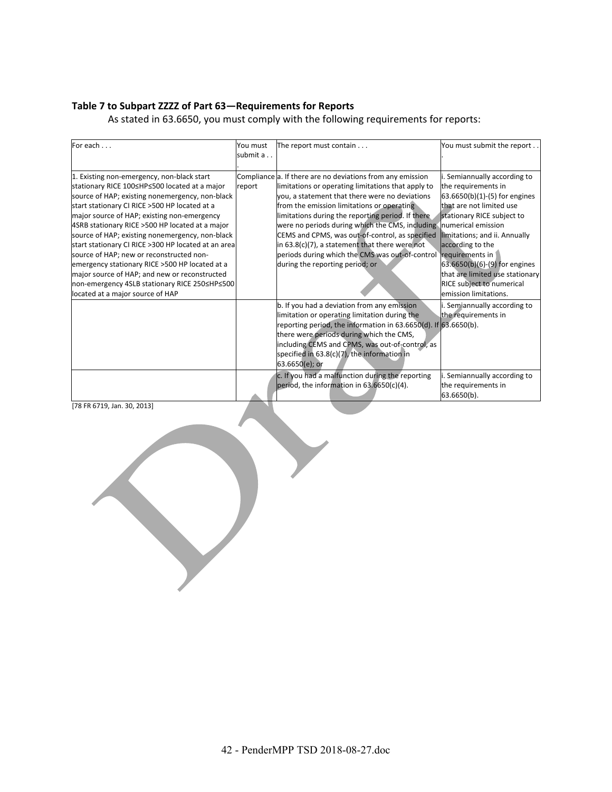#### **Table 7 to Subpart ZZZZ of Part 63—Requirements for Reports**

As stated in 63.6650, you must comply with the following requirements for reports:

| For each                                                                                                                                                                                                                                                                                                                                                                                                                                                                                                                                                                                                                                         | You must<br>submit a. | The report must contain                                                                                                                                                                                                                                                                                                                                                                                                                                                                                                | You must submit the report                                                                                                                                                                                                                                                                                                                                              |
|--------------------------------------------------------------------------------------------------------------------------------------------------------------------------------------------------------------------------------------------------------------------------------------------------------------------------------------------------------------------------------------------------------------------------------------------------------------------------------------------------------------------------------------------------------------------------------------------------------------------------------------------------|-----------------------|------------------------------------------------------------------------------------------------------------------------------------------------------------------------------------------------------------------------------------------------------------------------------------------------------------------------------------------------------------------------------------------------------------------------------------------------------------------------------------------------------------------------|-------------------------------------------------------------------------------------------------------------------------------------------------------------------------------------------------------------------------------------------------------------------------------------------------------------------------------------------------------------------------|
| 1. Existing non-emergency, non-black start<br>stationary RICE 100≤HP≤500 located at a major<br>source of HAP; existing nonemergency, non-black<br>start stationary CI RICE >500 HP located at a<br>major source of HAP; existing non-emergency<br>4SRB stationary RICE >500 HP located at a major<br>source of HAP; existing nonemergency, non-black<br>start stationary CI RICE > 300 HP located at an area<br>source of HAP; new or reconstructed non-<br>emergency stationary RICE >500 HP located at a<br>major source of HAP; and new or reconstructed<br>non-emergency 4SLB stationary RICE 250≤HP≤500<br>located at a major source of HAP | report                | Compliance a. If there are no deviations from any emission<br>limitations or operating limitations that apply to<br>you, a statement that there were no deviations<br>from the emission limitations or operating<br>limitations during the reporting period. If there<br>were no periods during which the CMS, including<br>CEMS and CPMS, was out-of-control, as specified<br>in $63.8(c)(7)$ , a statement that there were not<br>periods during which the CMS was out-of-control<br>during the reporting period; or | i. Semiannually according to<br>the requirements in<br>63.6650(b)(1)-(5) for engines<br>that are not limited use<br>stationary RICE subject to<br>Inumerical emission<br>limitations; and ii. Annually<br>according to the<br>requirements in<br>63.6650(b)(6)-(9) for engines<br>that are limited use stationary<br>RICE subject to numerical<br>emission limitations. |
|                                                                                                                                                                                                                                                                                                                                                                                                                                                                                                                                                                                                                                                  |                       | b. If you had a deviation from any emission<br>limitation or operating limitation during the<br>reporting period, the information in 63.6650(d). If 63.6650(b).<br>there were periods during which the CMS,<br>including CEMS and CPMS, was out-of-control, as<br>specified in 63.8(c)(7), the information in<br>63.6650(e); or<br>c. If you had a malfunction during the reporting<br>period, the information in $63.6650(c)(4)$ .                                                                                    | Semiannually according to<br>the requirements in<br>i. Semiannually according to<br>the requirements in<br>63.6650(b).                                                                                                                                                                                                                                                  |

[78 FR 6719, Jan. 30, 2013]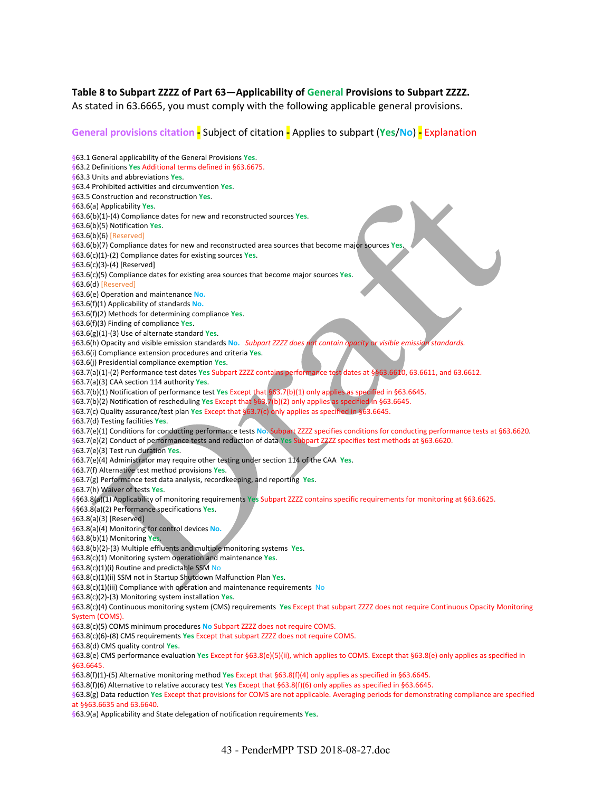#### **Table 8 to Subpart ZZZZ of Part 63—Applicability of General Provisions to Subpart ZZZZ.**

As stated in 63.6665, you must comply with the following applicable general provisions.

#### **General provisions citation ‐** Subject of citation **‐** Applies to subpart (**Yes**/**No**) **‐** Explanation

**§**63.1 General applicability of the General Provisions **Yes**. **§**63.2 Definitions **Yes** Additional terms defined in §63.6675. **§**63.3 Units and abbreviations **Yes**. **§**63.4 Prohibited activities and circumvention **Yes**. **§**63.5 Construction and reconstruction **Yes**. **§**63.6(a) Applicability **Yes**. **§**63.6(b)(1)‐(4) Compliance dates for new and reconstructed sources **Yes**. **§**63.6(b)(5) Notification **Yes**. **§**63.6(b)(6) [Reserved] **§**63.6(b)(7) Compliance dates for new and reconstructed area sources that become major sources **Yes**. **§**63.6(c)(1)‐(2) Compliance dates for existing sources **Yes**. **§**63.6(c)(3)‐(4) [Reserved] **§**63.6(c)(5) Compliance dates for existing area sources that become major sources **Yes**. **§**63.6(d) [Reserved] **§**63.6(e) Operation and maintenance **No. §**63.6(f)(1) Applicability of standards **No. §**63.6(f)(2) Methods for determining compliance **Yes**. **§**63.6(f)(3) Finding of compliance **Yes**. **§**63.6(g)(1)‐(3) Use of alternate standard **Yes**. **§**63.6(h) Opacity and visible emission standards **No.** *Subpart ZZZZ does not contain opacity or visible emission standards.* **§**63.6(i) Compliance extension procedures and criteria **Yes**. **§**63.6(j) Presidential compliance exemption **Yes**. **§**63.7(a)(1)‐(2) Performance test dates **Yes** Subpart ZZZZ contains performance test dates at §§63.6610, 63.6611, and 63.6612. **§**63.7(a)(3) CAA section 114 authority **Yes**. **§**63.7(b)(1) Notification of performance test **Yes** Except that §63.7(b)(1) only applies as specified in §63.6645. **§**63.7(b)(2) Notification of rescheduling **Yes** Except that §63.7(b)(2) only applies as specified in §63.6645. **§**63.7(c) Quality assurance/test plan **Yes** Except that §63.7(c) only applies as specified in §63.6645. **§**63.7(d) Testing facilities **Yes**. **§**63.7(e)(1) Conditions for conducting performance tests **No.** Subpart ZZZZ specifies conditions for conducting performance tests at §63.6620. **§**63.7(e)(2) Conduct of performance tests and reduction of data **Yes** Subpart ZZZZ specifies test methods at §63.6620. **§**63.7(e)(3) Test run duration **Yes**. **§**63.7(e)(4) Administrator may require other testing under section 114 of the CAA **Yes**. **§**63.7(f) Alternative test method provisions **Yes**. **§**63.7(g) Performance test data analysis, recordkeeping, and reporting **Yes**. **§**63.7(h) Waiver of tests **Yes**. **§**§63.8(a)(1) Applicability of monitoring requirements **Yes** Subpart ZZZZ contains specific requirements for monitoring at §63.6625. **§**§63.8(a)(2) Performance specifications **Yes**. **§**63.8(a)(3) [Reserved] **§**63.8(a)(4) Monitoring for control devices **No. §**63.8(b)(1) Monitoring **Yes**. **§**63.8(b)(2)‐(3) Multiple effluents and multiple monitoring systems **Yes**. **§**63.8(c)(1) Monitoring system operation and maintenance **Yes**. **§**63.8(c)(1)(i) Routine and predictable SSM No **§**63.8(c)(1)(ii) SSM not in Startup Shutdown Malfunction Plan **Yes**. **§**63.8(c)(1)(iii) Compliance with operation and maintenance requirements No **§**63.8(c)(2)‐(3) Monitoring system installation **Yes**. **§**63.8(c)(4) Continuous monitoring system (CMS) requirements **Yes** Except that subpart ZZZZ does not require Continuous Opacity Monitoring System (COMS). **§**63.8(c)(5) COMS minimum procedures **No** Subpart ZZZZ does not require COMS. **§**63.8(c)(6)‐(8) CMS requirements **Yes** Except that subpart ZZZZ does not require COMS. **§**63.8(d) CMS quality control **Yes**. **§**63.8(e) CMS performance evaluation **Yes** Except for §63.8(e)(5)(ii), which applies to COMS. Except that §63.8(e) only applies as specified in §63.6645. **§**63.8(f)(1)‐(5) Alternative monitoring method **Yes** Except that §63.8(f)(4) only applies as specified in §63.6645. **§**63.8(f)(6) Alternative to relative accuracy test **Yes** Except that §63.8(f)(6) only applies as specified in §63.6645. **§**63.8(g) Data reduction **Yes** Except that provisions for COMS are not applicable. Averaging periods for demonstrating compliance are specified at §§63.6635 and 63.6640. **§**63.9(a) Applicability and State delegation of notification requirements **Yes**.